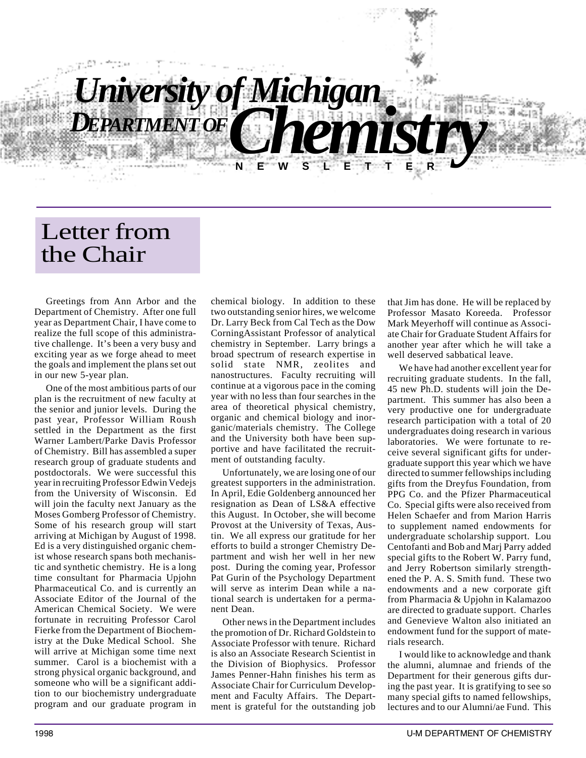# Letter from the Chair

*DEPARTMENT OF* 

Greetings from Ann Arbor and the Department of Chemistry. After one full year as Department Chair, I have come to realize the full scope of this administrative challenge. It's been a very busy and exciting year as we forge ahead to meet the goals and implement the plans set out in our new 5-year plan.

One of the most ambitious parts of our plan is the recruitment of new faculty at the senior and junior levels. During the past year, Professor William Roush settled in the Department as the first Warner Lambert/Parke Davis Professor of Chemistry. Bill has assembled a super research group of graduate students and postdoctorals. We were successful this year in recruiting Professor Edwin Vedejs from the University of Wisconsin. Ed will join the faculty next January as the Moses Gomberg Professor of Chemistry. Some of his research group will start arriving at Michigan by August of 1998. Ed is a very distinguished organic chemist whose research spans both mechanistic and synthetic chemistry. He is a long time consultant for Pharmacia Upjohn Pharmaceutical Co. and is currently an Associate Editor of the Journal of the American Chemical Society. We were fortunate in recruiting Professor Carol Fierke from the Department of Biochemistry at the Duke Medical School. She will arrive at Michigan some time next summer. Carol is a biochemist with a strong physical organic background, and someone who will be a significant addition to our biochemistry undergraduate program and our graduate program in

chemical biology. In addition to these two outstanding senior hires, we welcome Dr. Larry Beck from Cal Tech as the Dow CorningAssistant Professor of analytical chemistry in September. Larry brings a broad spectrum of research expertise in solid state NMR, zeolites and nanostructures. Faculty recruiting will continue at a vigorous pace in the coming year with no less than four searches in the area of theoretical physical chemistry, organic and chemical biology and inorganic/materials chemistry. The College and the University both have been supportive and have facilitated the recruitment of outstanding faculty.

*University of Michigan*

*Chemistry*

**NEWSLETTER**

Unfortunately, we are losing one of our greatest supporters in the administration. In April, Edie Goldenberg announced her resignation as Dean of LS&A effective this August. In October, she will become Provost at the University of Texas, Austin. We all express our gratitude for her efforts to build a stronger Chemistry Department and wish her well in her new post. During the coming year, Professor Pat Gurin of the Psychology Department will serve as interim Dean while a national search is undertaken for a permanent Dean.

Other news in the Department includes the promotion of Dr. Richard Goldstein to Associate Professor with tenure. Richard is also an Associate Research Scientist in the Division of Biophysics. Professor James Penner-Hahn finishes his term as Associate Chair for Curriculum Development and Faculty Affairs. The Department is grateful for the outstanding job

that Jim has done. He will be replaced by Professor Masato Koreeda. Professor Mark Meyerhoff will continue as Associate Chair for Graduate Student Affairs for another year after which he will take a well deserved sabbatical leave.

We have had another excellent year for recruiting graduate students. In the fall, 45 new Ph.D. students will join the Department. This summer has also been a very productive one for undergraduate research participation with a total of 20 undergraduates doing research in various laboratories. We were fortunate to receive several significant gifts for undergraduate support this year which we have directed to summer fellowships including gifts from the Dreyfus Foundation, from PPG Co. and the Pfizer Pharmaceutical Co. Special gifts were also received from Helen Schaefer and from Marion Harris to supplement named endowments for undergraduate scholarship support. Lou Centofanti and Bob and Marj Parry added special gifts to the Robert W. Parry fund, and Jerry Robertson similarly strengthened the P. A. S. Smith fund. These two endowments and a new corporate gift from Pharmacia & Upjohn in Kalamazoo are directed to graduate support. Charles and Genevieve Walton also initiated an endowment fund for the support of materials research.

I would like to acknowledge and thank the alumni, alumnae and friends of the Department for their generous gifts during the past year. It is gratifying to see so many special gifts to named fellowships, lectures and to our Alumni/ae Fund. This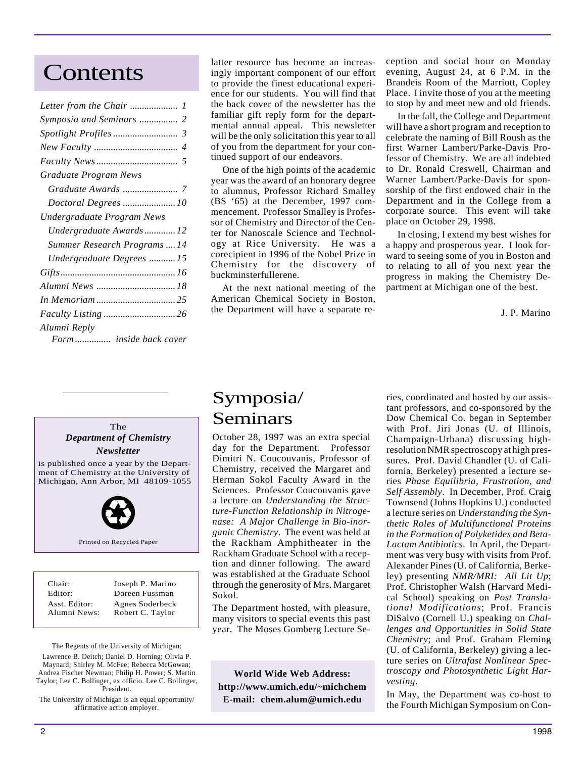## Contents

| Letter from the Chair  1     |
|------------------------------|
| Symposia and Seminars  2     |
|                              |
|                              |
|                              |
| Graduate Program News        |
|                              |
| Doctoral Degrees  10         |
| Undergraduate Program News   |
| Undergraduate Awards12       |
| Summer Research Programs  14 |
| Undergraduate Degrees 15     |
|                              |
|                              |
|                              |
|                              |
| Alumni Reply                 |
| Form inside back cover       |

latter resource has become an increasingly important component of our effort to provide the finest educational experience for our students. You will find that the back cover of the newsletter has the familiar gift reply form for the departmental annual appeal. This newsletter will be the only solicitation this year to all of you from the department for your continued support of our endeavors.

One of the high points of the academic year was the award of an honorary degree to alumnus, Professor Richard Smalley (BS '65) at the December, 1997 commencement. Professor Smalley is Professor of Chemistry and Director of the Center for Nanoscale Science and Technology at Rice University. He was a corecipient in 1996 of the Nobel Prize in Chemistry for the discovery of buckminsterfullerene.

At the next national meeting of the American Chemical Society in Boston, the Department will have a separate reception and social hour on Monday evening, August 24, at 6 P.M. in the Brandeis Room of the Marriott, Copley Place. I invite those of you at the meeting to stop by and meet new and old friends.

In the fall, the College and Department will have a short program and reception to celebrate the naming of Bill Roush as the first Warner Lambert/Parke-Davis Professor of Chemistry. We are all indebted to Dr. Ronald Creswell, Chairman and Warner Lambert/Parke-Davis for sponsorship of the first endowed chair in the Department and in the College from a corporate source. This event will take place on October 29, 1998.

In closing, I extend my best wishes for a happy and prosperous year. I look forward to seeing some of you in Boston and to relating to all of you next year the progress in making the Chemistry Department at Michigan one of the best.

J. P. Marino

## Symposia/ Seminars

October 28, 1997 was an extra special day for the Department. Professor Dimitri N. Coucouvanis, Professor of Chemistry, received the Margaret and Herman Sokol Faculty Award in the Sciences. Professor Coucouvanis gave a lecture on *Understanding the Structure-Function Relationship in Nitrogenase: A Major Challenge in Bio-inorganic Chemistry*. The event was held at the Rackham Amphitheater in the Rackham Graduate School with a reception and dinner following. The award was established at the Graduate School through the generosity of Mrs. Margaret Sokol.

The Department hosted, with pleasure, many visitors to special events this past year. The Moses Gomberg Lecture Se-

**World Wide Web Address: http://www.umich.edu/~michchem E-mail: chem.alum@umich.edu**

ries, coordinated and hosted by our assistant professors, and co-sponsored by the Dow Chemical Co. began in September with Prof. Jiri Jonas (U. of Illinois, Champaign-Urbana) discussing highresolution NMR spectroscopy at high pressures. Prof. David Chandler (U. of California, Berkeley) presented a lecture series *Phase Equilibria, Frustration, and Self Assembly*. In December, Prof. Craig Townsend (Johns Hopkins U.) conducted a lecture series on *Understanding the Synthetic Roles of Multifunctional Proteins in the Formation of Polyketides and Beta-Lactam Antibiotics*. In April, the Department was very busy with visits from Prof. Alexander Pines (U. of California, Berkeley) presenting *NMR/MRI: All Lit Up*; Prof. Christopher Walsh (Harvard Medical School) speaking on *Post Translational Modifications*; Prof. Francis DiSalvo (Cornell U.) speaking on *Challenges and Opportunities in Solid State Chemistry*; and Prof. Graham Fleming (U. of California, Berkeley) giving a lecture series on *Ultrafast Nonlinear Spectroscopy and Photosynthetic Light Harvesting*.

In May, the Department was co-host to the Fourth Michigan Symposium on Con-

#### The *Department of Chemistry Newsletter*

is published once a year by the Department of Chemistry at the University of Michigan, Ann Arbor, MI 48109-1055



Printed on Recycled Paper

| Chair:       |  |
|--------------|--|
| Editor:      |  |
| Asst. Editor |  |
| Alumni Nev   |  |

Joseph P. Marino Doreen Fussman Agnes Soderbeck ws: Robert C. Taylor

The Regents of the University of Michigan: Lawrence B. Deitch; Daniel D. Horning; Olivia P. Maynard; Shirley M. McFee; Rebecca McGowan; Andrea Fischer Newman; Philip H. Power; S. Martin Taylor; Lee C. Bollinger, ex officio. Lee C. Bollinger, President.

The University of Michigan is an equal opportunity/ affirmative action employer.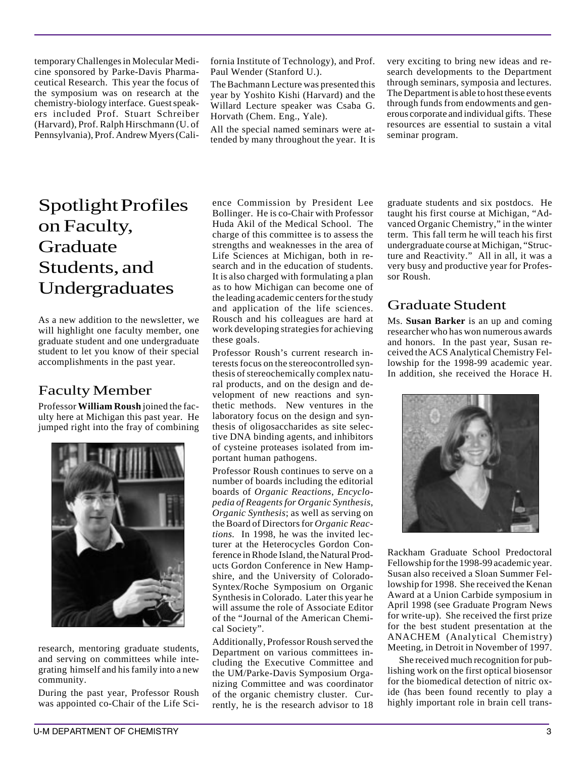temporary Challenges in Molecular Medicine sponsored by Parke-Davis Pharmaceutical Research. This year the focus of the symposium was on research at the chemistry-biology interface. Guest speakers included Prof. Stuart Schreiber (Harvard), Prof. Ralph Hirschmann (U. of Pennsylvania), Prof. Andrew Myers (California Institute of Technology), and Prof. Paul Wender (Stanford U.).

The Bachmann Lecture was presented this year by Yoshito Kishi (Harvard) and the Willard Lecture speaker was Csaba G. Horvath (Chem. Eng., Yale).

All the special named seminars were attended by many throughout the year. It is very exciting to bring new ideas and research developments to the Department through seminars, symposia and lectures. The Department is able to host these events through funds from endowments and generous corporate and individual gifts. These resources are essential to sustain a vital seminar program.

## Spotlight Profiles on Faculty, Graduate Students, and Undergraduates

As a new addition to the newsletter, we will highlight one faculty member, one graduate student and one undergraduate student to let you know of their special accomplishments in the past year.

## Faculty Member

Professor **William Roush** joined the faculty here at Michigan this past year. He jumped right into the fray of combining



research, mentoring graduate students, and serving on committees while integrating himself and his family into a new community.

During the past year, Professor Roush was appointed co-Chair of the Life Science Commission by President Lee Bollinger. He is co-Chair with Professor Huda Akil of the Medical School. The charge of this committee is to assess the strengths and weaknesses in the area of Life Sciences at Michigan, both in research and in the education of students. It is also charged with formulating a plan as to how Michigan can become one of the leading academic centers for the study and application of the life sciences. Rousch and his colleagues are hard at work developing strategies for achieving these goals.

Professor Roush's current research interests focus on the stereocontrolled synthesis of stereochemically complex natural products, and on the design and development of new reactions and synthetic methods. New ventures in the laboratory focus on the design and synthesis of oligosaccharides as site selective DNA binding agents, and inhibitors of cysteine proteases isolated from important human pathogens.

Professor Roush continues to serve on a number of boards including the editorial boards of *Organic Reactions*, *Encyclopedia of Reagents for Organic Synthesis*, *Organic Synthesis*; as well as serving on the Board of Directors for *Organic Reactions.* In 1998, he was the invited lecturer at the Heterocycles Gordon Conference in Rhode Island, the Natural Products Gordon Conference in New Hampshire, and the University of Colorado-Syntex/Roche Symposium on Organic Synthesis in Colorado. Later this year he will assume the role of Associate Editor of the "Journal of the American Chemical Society".

Additionally, Professor Roush served the Department on various committees including the Executive Committee and the UM/Parke-Davis Symposium Organizing Committee and was coordinator of the organic chemistry cluster. Currently, he is the research advisor to 18

graduate students and six postdocs. He taught his first course at Michigan, "Advanced Organic Chemistry," in the winter term. This fall term he will teach his first undergraduate course at Michigan, "Structure and Reactivity." All in all, it was a very busy and productive year for Professor Roush.

## Graduate Student

Ms. **Susan Barker** is an up and coming researcher who has won numerous awards and honors. In the past year, Susan received the ACS Analytical Chemistry Fellowship for the 1998-99 academic year. In addition, she received the Horace H.



Rackham Graduate School Predoctoral Fellowship for the 1998-99 academic year. Susan also received a Sloan Summer Fellowship for 1998. She received the Kenan Award at a Union Carbide symposium in April 1998 (see Graduate Program News for write-up). She received the first prize for the best student presentation at the ANACHEM (Analytical Chemistry) Meeting, in Detroit in November of 1997.

She received much recognition for publishing work on the first optical biosensor for the biomedical detection of nitric oxide (has been found recently to play a highly important role in brain cell trans-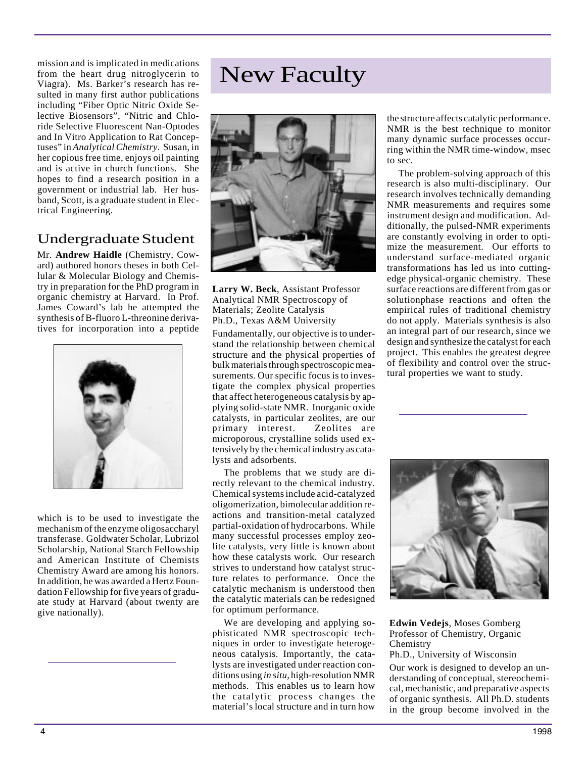mission and is implicated in medications from the heart drug nitroglycerin to Viagra). Ms. Barker's research has resulted in many first author publications including "Fiber Optic Nitric Oxide Selective Biosensors", "Nitric and Chloride Selective Fluorescent Nan-Optodes and In Vitro Application to Rat Conceptuses" in *Analytical Chemistry.* Susan, in her copious free time, enjoys oil painting and is active in church functions. She hopes to find a research position in a government or industrial lab. Her husband, Scott, is a graduate student in Electrical Engineering.

## Undergraduate Student

Mr. **Andrew Haidle** (Chemistry, Coward) authored honors theses in both Cellular & Molecular Biology and Chemistry in preparation for the PhD program in organic chemistry at Harvard. In Prof. James Coward's lab he attempted the synthesis of B-fluoro L-threonine derivatives for incorporation into a peptide



which is to be used to investigate the mechanism of the enzyme oligosaccharyl transferase. Goldwater Scholar, Lubrizol Scholarship, National Starch Fellowship and American Institute of Chemists Chemistry Award are among his honors. In addition, he was awarded a Hertz Foundation Fellowship for five years of graduate study at Harvard (about twenty are give nationally).

# New Faculty



**Larry W. Beck**, Assistant Professor Analytical NMR Spectroscopy of Materials; Zeolite Catalysis Ph.D., Texas A&M University

Fundamentally, our objective is to understand the relationship between chemical structure and the physical properties of bulk materials through spectroscopic measurements. Our specific focus is to investigate the complex physical properties that affect heterogeneous catalysis by applying solid-state NMR. Inorganic oxide catalysts, in particular zeolites, are our primary interest. Zeolites are microporous, crystalline solids used extensively by the chemical industry as catalysts and adsorbents.

The problems that we study are directly relevant to the chemical industry. Chemical systems include acid-catalyzed oligomerization, bimolecular addition reactions and transition-metal catalyzed partial-oxidation of hydrocarbons. While many successful processes employ zeolite catalysts, very little is known about how these catalysts work. Our research strives to understand how catalyst structure relates to performance. Once the catalytic mechanism is understood then the catalytic materials can be redesigned for optimum performance.

We are developing and applying sophisticated NMR spectroscopic techniques in order to investigate heterogeneous catalysis. Importantly, the catalysts are investigated under reaction conditions using *in situ*, high-resolution NMR methods. This enables us to learn how the catalytic process changes the material's local structure and in turn how

the structure affects catalytic performance. NMR is the best technique to monitor many dynamic surface processes occurring within the NMR time-window, msec to sec.

The problem-solving approach of this research is also multi-disciplinary. Our research involves technically demanding NMR measurements and requires some instrument design and modification. Additionally, the pulsed-NMR experiments are constantly evolving in order to optimize the measurement. Our efforts to understand surface-mediated organic transformations has led us into cuttingedge physical-organic chemistry. These surface reactions are different from gas or solutionphase reactions and often the empirical rules of traditional chemistry do not apply. Materials synthesis is also an integral part of our research, since we design and synthesize the catalyst for each project. This enables the greatest degree of flexibility and control over the structural properties we want to study.



**Edwin Vedejs**, Moses Gomberg Professor of Chemistry, Organic Chemistry

Ph.D., University of Wisconsin Our work is designed to develop an un-

derstanding of conceptual, stereochemical, mechanistic, and preparative aspects of organic synthesis. All Ph.D. students in the group become involved in the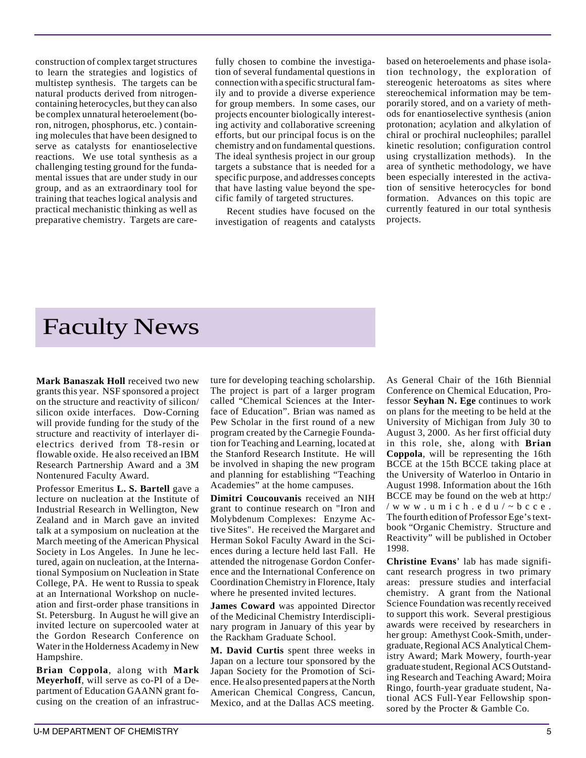construction of complex target structures to learn the strategies and logistics of multistep synthesis. The targets can be natural products derived from nitrogencontaining heterocycles, but they can also be complex unnatural heteroelement (boron, nitrogen, phosphorus, etc. ) containing molecules that have been designed to serve as catalysts for enantioselective reactions. We use total synthesis as a challenging testing ground for the fundamental issues that are under study in our group, and as an extraordinary tool for training that teaches logical analysis and practical mechanistic thinking as well as preparative chemistry. Targets are carefully chosen to combine the investigation of several fundamental questions in connection with a specific structural family and to provide a diverse experience for group members. In some cases, our projects encounter biologically interesting activity and collaborative screening efforts, but our principal focus is on the chemistry and on fundamental questions. The ideal synthesis project in our group targets a substance that is needed for a specific purpose, and addresses concepts that have lasting value beyond the specific family of targeted structures.

Recent studies have focused on the investigation of reagents and catalysts

based on heteroelements and phase isolation technology, the exploration of stereogenic heteroatoms as sites where stereochemical information may be temporarily stored, and on a variety of methods for enantioselective synthesis (anion protonation; acylation and alkylation of chiral or prochiral nucleophiles; parallel kinetic resolution; configuration control using crystallization methods). In the area of synthetic methodology, we have been especially interested in the activation of sensitive heterocycles for bond formation. Advances on this topic are currently featured in our total synthesis projects.

# Faculty News

**Mark Banaszak Holl received two new** grants this year. NSF sponsored a project on the structure and reactivity of silicon/ silicon oxide interfaces. Dow-Corning will provide funding for the study of the structure and reactivity of interlayer dielectrics derived from T8-resin or flowable oxide. He also received an IBM Research Partnership Award and a 3M Nontenured Faculty Award.

Professor Emeritus **L. S. Bartell** gave a lecture on nucleation at the Institute of Industrial Research in Wellington, New Zealand and in March gave an invited talk at a symposium on nucleation at the March meeting of the American Physical Society in Los Angeles. In June he lectured, again on nucleation, at the International Symposium on Nucleation in State College, PA. He went to Russia to speak at an International Workshop on nucleation and first-order phase transitions in St. Petersburg. In August he will give an invited lecture on supercooled water at the Gordon Research Conference on Water in the Holderness Academy in New Hampshire.

**Brian Coppola**, along with **Mark Meyerhoff**, will serve as co-PI of a Department of Education GAANN grant focusing on the creation of an infrastructure for developing teaching scholarship. The project is part of a larger program called "Chemical Sciences at the Interface of Education". Brian was named as Pew Scholar in the first round of a new program created by the Carnegie Foundation for Teaching and Learning, located at the Stanford Research Institute. He will be involved in shaping the new program and planning for establishing "Teaching Academies" at the home campuses.

**Dimitri Coucouvanis** received an NIH grant to continue research on "Iron and Molybdenum Complexes: Enzyme Active Sites". He received the Margaret and Herman Sokol Faculty Award in the Sciences during a lecture held last Fall. He attended the nitrogenase Gordon Conference and the International Conference on Coordination Chemistry in Florence, Italy where he presented invited lectures.

**James Coward** was appointed Director of the Medicinal Chemistry Interdisciplinary program in January of this year by the Rackham Graduate School.

**M. David Curtis** spent three weeks in Japan on a lecture tour sponsored by the Japan Society for the Promotion of Science. He also presented papers at the North American Chemical Congress, Cancun, Mexico, and at the Dallas ACS meeting.

As General Chair of the 16th Biennial Conference on Chemical Education, Professor **Seyhan N. Ege** continues to work on plans for the meeting to be held at the University of Michigan from July 30 to August 3, 2000. As her first official duty in this role, she, along with **Brian Coppola**, will be representing the 16th BCCE at the 15th BCCE taking place at the University of Waterloo in Ontario in August 1998. Information about the 16th BCCE may be found on the web at http:/ /www.umich.edu/~bcce. The fourth edition of Professor Ege's textbook "Organic Chemistry. Structure and Reactivity" will be published in October 1998.

**Christine Evans**' lab has made significant research progress in two primary areas: pressure studies and interfacial chemistry. A grant from the National Science Foundation was recently received to support this work. Several prestigious awards were received by researchers in her group: Amethyst Cook-Smith, undergraduate, Regional ACS Analytical Chemistry Award; Mark Mowery, fourth-year graduate student, Regional ACS Outstanding Research and Teaching Award; Moira Ringo, fourth-year graduate student, National ACS Full-Year Fellowship sponsored by the Procter & Gamble Co.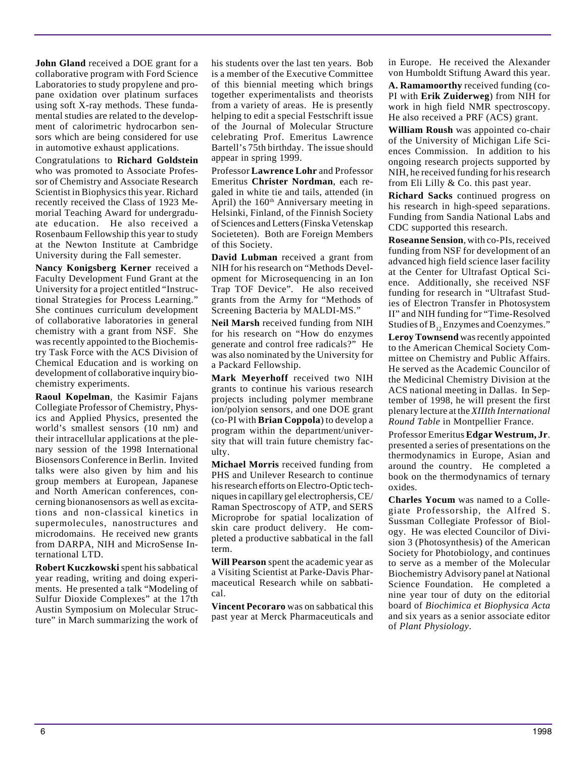**John Gland** received a DOE grant for a collaborative program with Ford Science Laboratories to study propylene and propane oxidation over platinum surfaces using soft X-ray methods. These fundamental studies are related to the development of calorimetric hydrocarbon sensors which are being considered for use in automotive exhaust applications.

Congratulations to **Richard Goldstein** who was promoted to Associate Professor of Chemistry and Associate Research Scientist in Biophysics this year. Richard recently received the Class of 1923 Memorial Teaching Award for undergraduate education. He also received a Rosenbaum Fellowship this year to study at the Newton Institute at Cambridge University during the Fall semester.

**Nancy Konigsberg Kerner** received a Faculty Development Fund Grant at the University for a project entitled "Instructional Strategies for Process Learning." She continues curriculum development of collaborative laboratories in general chemistry with a grant from NSF. She was recently appointed to the Biochemistry Task Force with the ACS Division of Chemical Education and is working on development of collaborative inquiry biochemistry experiments.

**Raoul Kopelman**, the Kasimir Fajans Collegiate Professor of Chemistry, Physics and Applied Physics, presented the world's smallest sensors (10 nm) and their intracellular applications at the plenary session of the 1998 International Biosensors Conference in Berlin. Invited talks were also given by him and his group members at European, Japanese and North American conferences, concerning bionanosensors as well as excitations and non-classical kinetics in supermolecules, nanostructures and microdomains. He received new grants from DARPA, NIH and MicroSense International LTD.

**Robert Kuczkowski** spent his sabbatical year reading, writing and doing experiments. He presented a talk "Modeling of Sulfur Dioxide Complexes" at the 17th Austin Symposium on Molecular Structure" in March summarizing the work of his students over the last ten years. Bob is a member of the Executive Committee of this biennial meeting which brings together experimentalists and theorists from a variety of areas. He is presently helping to edit a special Festschrift issue of the Journal of Molecular Structure celebrating Prof. Emeritus Lawrence Bartell's 75th birthday. The issue should appear in spring 1999.

Professor **Lawrence Lohr** and Professor Emeritus **Christer Nordman**, each regaled in white tie and tails, attended (in April) the 160<sup>th</sup> Anniversary meeting in Helsinki, Finland, of the Finnish Society of Sciences and Letters (Finska Vetenskap Societeten). Both are Foreign Members of this Society.

**David Lubman** received a grant from NIH for his research on "Methods Development for Microsequencing in an Ion Trap TOF Device". He also received grants from the Army for "Methods of Screening Bacteria by MALDI-MS."

**Neil Marsh** received funding from NIH for his research on "How do enzymes generate and control free radicals?" He was also nominated by the University for a Packard Fellowship.

**Mark Meyerhoff** received two NIH grants to continue his various research projects including polymer membrane ion/polyion sensors, and one DOE grant (co-PI with **Brian Coppola**) to develop a program within the department/university that will train future chemistry faculty.

**Michael Morris** received funding from PHS and Unilever Research to continue his research efforts on Electro-Optic techniques in capillary gel electrophersis, CE/ Raman Spectroscopy of ATP, and SERS Microprobe for spatial localization of skin care product delivery. He completed a productive sabbatical in the fall term.

**Will Pearson** spent the academic year as a Visiting Scientist at Parke-Davis Pharmaceutical Research while on sabbatical.

**Vincent Pecoraro** was on sabbatical this past year at Merck Pharmaceuticals and in Europe. He received the Alexander von Humboldt Stiftung Award this year.

**A. Ramamoorthy** received funding (co-PI with **Erik Zuiderweg**) from NIH for work in high field NMR spectroscopy. He also received a PRF (ACS) grant.

**William Roush** was appointed co-chair of the University of Michigan Life Sciences Commission. In addition to his ongoing research projects supported by NIH, he received funding for his research from Eli Lilly & Co. this past year.

**Richard Sacks** continued progress on his research in high-speed separations. Funding from Sandia National Labs and CDC supported this research.

**Roseanne Sension**, with co-PIs, received funding from NSF for development of an advanced high field science laser facility at the Center for Ultrafast Optical Science. Additionally, she received NSF funding for research in "Ultrafast Studies of Electron Transfer in Photosystem II" and NIH funding for "Time-Resolved Studies of  $B_{12}$  Enzymes and Coenzymes."

**Leroy Townsend** was recently appointed to the American Chemical Society Committee on Chemistry and Public Affairs. He served as the Academic Councilor of the Medicinal Chemistry Division at the ACS national meeting in Dallas. In September of 1998, he will present the first plenary lecture at the *XIIIth International Round Table* in Montpellier France.

Professor Emeritus **Edgar Westrum, Jr**. presented a series of presentations on the thermodynamics in Europe, Asian and around the country. He completed a book on the thermodynamics of ternary oxides.

**Charles Yocum** was named to a Collegiate Professorship, the Alfred S. Sussman Collegiate Professor of Biology. He was elected Councilor of Division 3 (Photosynthesis) of the American Society for Photobiology, and continues to serve as a member of the Molecular Biochemistry Advisory panel at National Science Foundation. He completed a nine year tour of duty on the editorial board of *Biochimica et Biophysica Acta* and six years as a senior associate editor of *Plant Physiology*.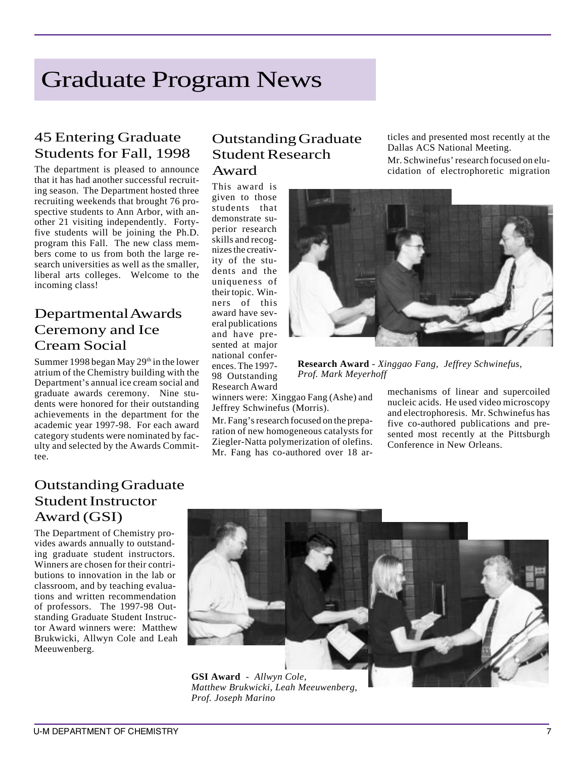# Graduate Program News

## 45 Entering Graduate Students for Fall, 1998

The department is pleased to announce that it has had another successful recruiting season. The Department hosted three recruiting weekends that brought 76 prospective students to Ann Arbor, with another 21 visiting independently. Fortyfive students will be joining the Ph.D. program this Fall. The new class members come to us from both the large research universities as well as the smaller, liberal arts colleges. Welcome to the incoming class!

## Departmental Awards Ceremony and Ice Cream Social

Summer 1998 began May  $29<sup>th</sup>$  in the lower atrium of the Chemistry building with the Department's annual ice cream social and graduate awards ceremony. Nine students were honored for their outstanding achievements in the department for the academic year 1997-98. For each award category students were nominated by faculty and selected by the Awards Committee.

### Outstanding Graduate Student Research Award

This award is given to those students that demonstrate superior research skills and recognizes the creativity of the students and the uniqueness of their topic. Winners of this award have several publications and have presented at major national conferences. The 1997- 98 Outstanding Research Award

winners were: Xinggao Fang (Ashe) and Jeffrey Schwinefus (Morris).

Mr. Fang's research focused on the preparation of new homogeneous catalysts for Ziegler-Natta polymerization of olefins. Mr. Fang has co-authored over 18 articles and presented most recently at the Dallas ACS National Meeting.

Mr. Schwinefus' research focused on elucidation of electrophoretic migration



**Research Award** *- Xinggao Fang, Jeffrey Schwinefus, Prof. Mark Meyerhoff*

mechanisms of linear and supercoiled nucleic acids. He used video microscopy and electrophoresis. Mr. Schwinefus has five co-authored publications and presented most recently at the Pittsburgh Conference in New Orleans.

## Outstanding Graduate Student Instructor Award (GSI)

The Department of Chemistry provides awards annually to outstanding graduate student instructors. Winners are chosen for their contributions to innovation in the lab or classroom, and by teaching evaluations and written recommendation of professors. The 1997-98 Outstanding Graduate Student Instructor Award winners were: Matthew Brukwicki, Allwyn Cole and Leah Meeuwenberg.



*Matthew Brukwicki, Leah Meeuwenberg, Prof. Joseph Marino*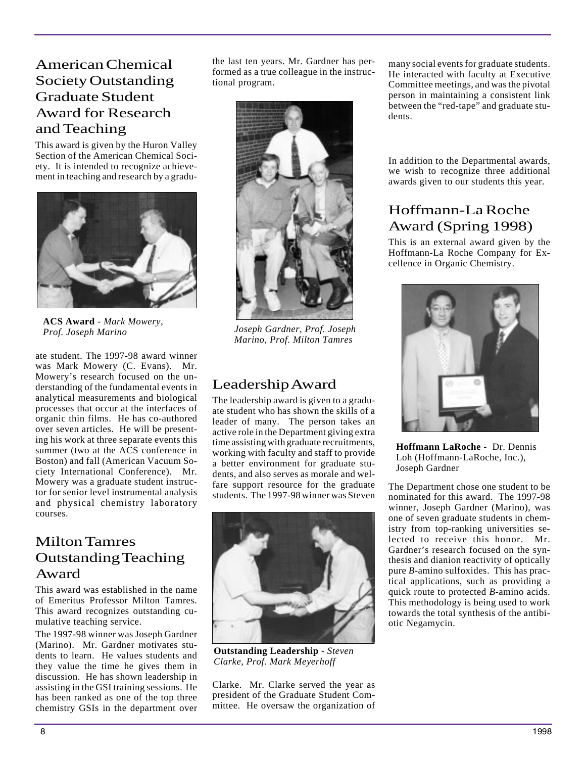## American Chemical Society Outstanding Graduate Student Award for Research and Teaching

This award is given by the Huron Valley Section of the American Chemical Society. It is intended to recognize achievement in teaching and research by a gradu-



**ACS Award** *- Mark Mowery, Prof. Joseph Marino*

ate student. The 1997-98 award winner was Mark Mowery (C. Evans). Mr. Mowery's research focused on the understanding of the fundamental events in analytical measurements and biological processes that occur at the interfaces of organic thin films. He has co-authored over seven articles. He will be presenting his work at three separate events this summer (two at the ACS conference in Boston) and fall (American Vacuum Society International Conference). Mr. Mowery was a graduate student instructor for senior level instrumental analysis and physical chemistry laboratory courses.

## Milton Tamres Outstanding Teaching Award

This award was established in the name of Emeritus Professor Milton Tamres. This award recognizes outstanding cumulative teaching service.

The 1997-98 winner was Joseph Gardner (Marino). Mr. Gardner motivates students to learn. He values students and they value the time he gives them in discussion. He has shown leadership in assisting in the GSI training sessions. He has been ranked as one of the top three chemistry GSIs in the department over the last ten years. Mr. Gardner has performed as a true colleague in the instructional program.



*Joseph Gardner, Prof. Joseph Marino, Prof. Milton Tamres*

## Leadership Award

The leadership award is given to a graduate student who has shown the skills of a leader of many. The person takes an active role in the Department giving extra time assisting with graduate recruitments, working with faculty and staff to provide a better environment for graduate students, and also serves as morale and welfare support resource for the graduate students. The 1997-98 winner was Steven



**Outstanding Leadership** *- Steven Clarke, Prof. Mark Meyerhoff*

Clarke. Mr. Clarke served the year as president of the Graduate Student Committee. He oversaw the organization of many social events for graduate students. He interacted with faculty at Executive Committee meetings, and was the pivotal person in maintaining a consistent link between the "red-tape" and graduate students.

In addition to the Departmental awards, we wish to recognize three additional awards given to our students this year.

## Hoffmann-La Roche Award (Spring 1998)

This is an external award given by the Hoffmann-La Roche Company for Excellence in Organic Chemistry.



**Hoffmann LaRoche** *-* Dr. Dennis Loh (Hoffmann-LaRoche, Inc.), Joseph Gardner

The Department chose one student to be nominated for this award. The 1997-98 winner, Joseph Gardner (Marino), was one of seven graduate students in chemistry from top-ranking universities selected to receive this honor. Mr. Gardner's research focused on the synthesis and dianion reactivity of optically pure *B*-amino sulfoxides. This has practical applications, such as providing a quick route to protected *B*-amino acids. This methodology is being used to work towards the total synthesis of the antibiotic Negamycin.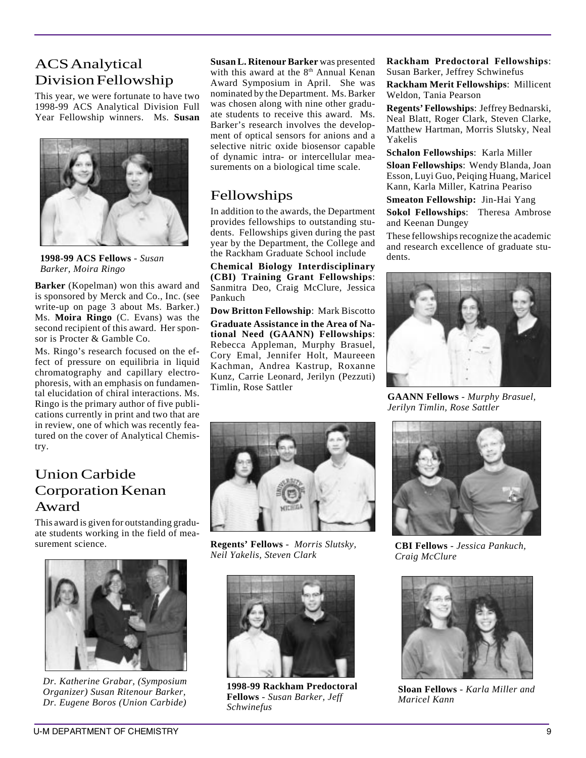## ACS Analytical Division Fellowship

This year, we were fortunate to have two 1998-99 ACS Analytical Division Full Year Fellowship winners. Ms. **Susan**



**1998-99 ACS Fellows** *- Susan Barker, Moira Ringo*

**Barker** (Kopelman) won this award and is sponsored by Merck and Co., Inc. (see write-up on page 3 about Ms. Barker.) Ms. **Moira Ringo** (C. Evans) was the second recipient of this award. Her sponsor is Procter & Gamble Co.

Ms. Ringo's research focused on the effect of pressure on equilibria in liquid chromatography and capillary electrophoresis, with an emphasis on fundamental elucidation of chiral interactions. Ms. Ringo is the primary author of five publications currently in print and two that are in review, one of which was recently featured on the cover of Analytical Chemistry.

## Union Carbide Corporation Kenan Award

This award is given for outstanding graduate students working in the field of measurement science.



*Dr. Katherine Grabar, (Symposium Organizer) Susan Ritenour Barker, Dr. Eugene Boros (Union Carbide)*

**Susan L. Ritenour Barker** was presented with this award at the 8<sup>th</sup> Annual Kenan Award Symposium in April. She was nominated by the Department. Ms. Barker was chosen along with nine other graduate students to receive this award. Ms. Barker's research involves the development of optical sensors for anions and a selective nitric oxide biosensor capable of dynamic intra- or intercellular measurements on a biological time scale.

## Fellowships

In addition to the awards, the Department provides fellowships to outstanding students. Fellowships given during the past year by the Department, the College and the Rackham Graduate School include

**Chemical Biology Interdisciplinary (CBI) Training Grant Fellowships**: Sanmitra Deo, Craig McClure, Jessica Pankuch

**Dow Britton Fellowship**: Mark Biscotto **Graduate Assistance in the Area of National Need (GAANN) Fellowships**: Rebecca Appleman, Murphy Brasuel, Cory Emal, Jennifer Holt, Maureeen Kachman, Andrea Kastrup, Roxanne Kunz, Carrie Leonard, Jerilyn (Pezzuti) Timlin, Rose Sattler



**Regents' Fellows** *- Morris Slutsky, Neil Yakelis, Steven Clark*



**1998-99 Rackham Predoctoral Fellows** *- Susan Barker, Jeff Schwinefus*

**Rackham Predoctoral Fellowships**: Susan Barker, Jeffrey Schwinefus

**Rackham Merit Fellowships**: Millicent Weldon, Tania Pearson

**Regents' Fellowships**: Jeffrey Bednarski, Neal Blatt, Roger Clark, Steven Clarke, Matthew Hartman, Morris Slutsky, Neal Yakelis

**Schalon Fellowships**: Karla Miller

**Sloan Fellowships**: Wendy Blanda, Joan Esson, Luyi Guo, Peiqing Huang, Maricel Kann, Karla Miller, Katrina Peariso

**Smeaton Fellowship:** Jin-Hai Yang

**Sokol Fellowships**: Theresa Ambrose and Keenan Dungey

These fellowships recognize the academic and research excellence of graduate students.



**GAANN Fellows** *- Murphy Brasuel, Jerilyn Timlin, Rose Sattler*



**CBI Fellows** *- Jessica Pankuch, Craig McClure*



**Sloan Fellows** *- Karla Miller and Maricel Kann*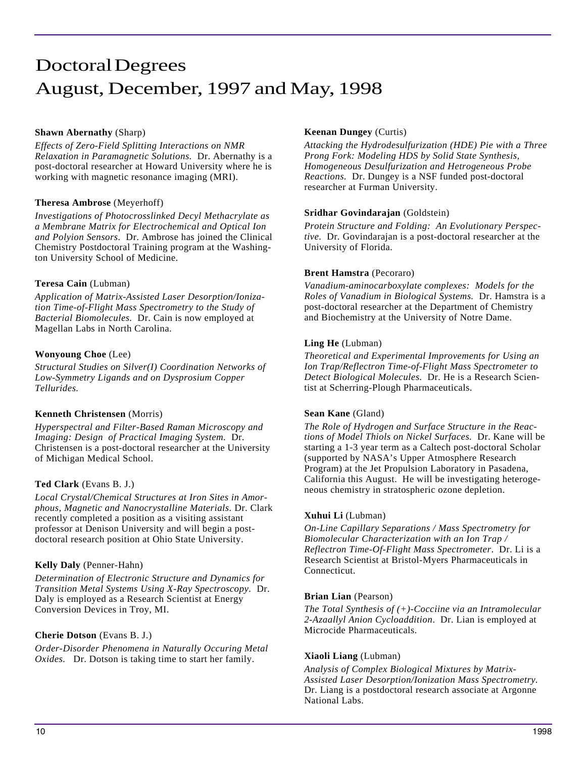## Doctoral Degrees August, December, 1997 and May, 1998

#### **Shawn Abernathy** (Sharp)

*Effects of Zero-Field Splitting Interactions on NMR Relaxation in Paramagnetic Solutions.* Dr. Abernathy is a post-doctoral researcher at Howard University where he is working with magnetic resonance imaging (MRI).

#### **Theresa Ambrose** (Meyerhoff)

*Investigations of Photocrosslinked Decyl Methacrylate as a Membrane Matrix for Electrochemical and Optical Ion and Polyion Sensors.* Dr. Ambrose has joined the Clinical Chemistry Postdoctoral Training program at the Washington University School of Medicine.

#### **Teresa Cain** (Lubman)

*Application of Matrix-Assisted Laser Desorption/Ionization Time-of-Flight Mass Spectrometry to the Study of Bacterial Biomolecules.* Dr. Cain is now employed at Magellan Labs in North Carolina.

#### **Wonyoung Choe** (Lee)

*Structural Studies on Silver(I) Coordination Networks of Low-Symmetry Ligands and on Dysprosium Copper Tellurides.*

#### **Kenneth Christensen** (Morris)

*Hyperspectral and Filter-Based Raman Microscopy and Imaging: Design of Practical Imaging System.* Dr. Christensen is a post-doctoral researcher at the University of Michigan Medical School.

#### **Ted Clark** (Evans B. J.)

*Local Crystal/Chemical Structures at Iron Sites in Amorphous, Magnetic and Nanocrystalline Materials.* Dr. Clark recently completed a position as a visiting assistant professor at Denison University and will begin a postdoctoral research position at Ohio State University.

#### **Kelly Daly** (Penner-Hahn)

*Determination of Electronic Structure and Dynamics for Transition Metal Systems Using X-Ray Spectroscopy.* Dr. Daly is employed as a Research Scientist at Energy Conversion Devices in Troy, MI.

#### **Cherie Dotson** (Evans B. J.)

*Order-Disorder Phenomena in Naturally Occuring Metal Oxides.* Dr. Dotson is taking time to start her family.

#### **Keenan Dungey** (Curtis)

*Attacking the Hydrodesulfurization (HDE) Pie with a Three Prong Fork: Modeling HDS by Solid State Synthesis, Homogeneous Desulfurization and Hetrogeneous Probe Reactions.* Dr. Dungey is a NSF funded post-doctoral researcher at Furman University.

#### **Sridhar Govindarajan** (Goldstein)

*Protein Structure and Folding: An Evolutionary Perspective.* Dr*.* Govindarajan is a post-doctoral researcher at the University of Florida.

#### **Brent Hamstra** (Pecoraro)

*Vanadium-aminocarboxylate complexes: Models for the Roles of Vanadium in Biological Systems.* Dr. Hamstra is a post-doctoral researcher at the Department of Chemistry and Biochemistry at the University of Notre Dame.

#### **Ling He** (Lubman)

*Theoretical and Experimental Improvements for Using an Ion Trap/Reflectron Time-of-Flight Mass Spectrometer to Detect Biological Molecules.* Dr. He is a Research Scientist at Scherring-Plough Pharmaceuticals.

#### **Sean Kane** (Gland)

*The Role of Hydrogen and Surface Structure in the Reactions of Model Thiols on Nickel Surfaces.* Dr. Kane will be starting a 1-3 year term as a Caltech post-doctoral Scholar (supported by NASA's Upper Atmosphere Research Program) at the Jet Propulsion Laboratory in Pasadena, California this August. He will be investigating heterogeneous chemistry in stratospheric ozone depletion.

#### **Xuhui Li** (Lubman)

*On-Line Capillary Separations / Mass Spectrometry for Biomolecular Characterization with an Ion Trap / Reflectron Time-Of-Flight Mass Spectrometer*. Dr. Li is a Research Scientist at Bristol-Myers Pharmaceuticals in Connecticut.

#### **Brian Lian** (Pearson)

*The Total Synthesis of (+)-Cocciine via an Intramolecular 2-Azaallyl Anion Cycloaddition*. Dr. Lian is employed at Microcide Pharmaceuticals.

#### **Xiaoli Liang** (Lubman)

*Analysis of Complex Biological Mixtures by Matrix-Assisted Laser Desorption/Ionization Mass Spectrometry.* Dr. Liang is a postdoctoral research associate at Argonne National Labs.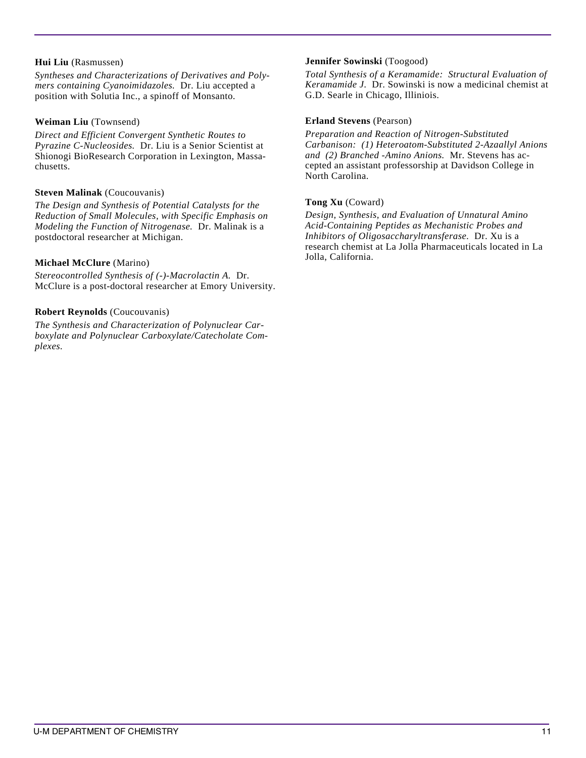#### **Hui Liu** (Rasmussen)

*Syntheses and Characterizations of Derivatives and Polymers containing Cyanoimidazoles.* Dr. Liu accepted a position with Solutia Inc., a spinoff of Monsanto.

#### **Weiman Liu** (Townsend)

*Direct and Efficient Convergent Synthetic Routes to Pyrazine C-Nucleosides.* Dr. Liu is a Senior Scientist at Shionogi BioResearch Corporation in Lexington, Massachusetts.

#### **Steven Malinak** (Coucouvanis)

*The Design and Synthesis of Potential Catalysts for the Reduction of Small Molecules, with Specific Emphasis on Modeling the Function of Nitrogenase.* Dr. Malinak is a postdoctoral researcher at Michigan.

#### **Michael McClure** (Marino)

*Stereocontrolled Synthesis of (-)-Macrolactin A.* Dr. McClure is a post-doctoral researcher at Emory University.

#### **Robert Reynolds** (Coucouvanis)

*The Synthesis and Characterization of Polynuclear Carboxylate and Polynuclear Carboxylate/Catecholate Complexes.*

#### **Jennifer Sowinski** (Toogood)

*Total Synthesis of a Keramamide: Structural Evaluation of Keramamide J.* Dr. Sowinski is now a medicinal chemist at G.D. Searle in Chicago, Illiniois.

#### **Erland Stevens** (Pearson)

*Preparation and Reaction of Nitrogen-Substituted Carbanison: (1) Heteroatom-Substituted 2-Azaallyl Anions and (2) Branched -Amino Anions.* Mr. Stevens has accepted an assistant professorship at Davidson College in North Carolina.

#### **Tong Xu** (Coward)

*Design, Synthesis, and Evaluation of Unnatural Amino Acid-Containing Peptides as Mechanistic Probes and Inhibitors of Oligosaccharyltransferase.* Dr. Xu is a research chemist at La Jolla Pharmaceuticals located in La Jolla, California.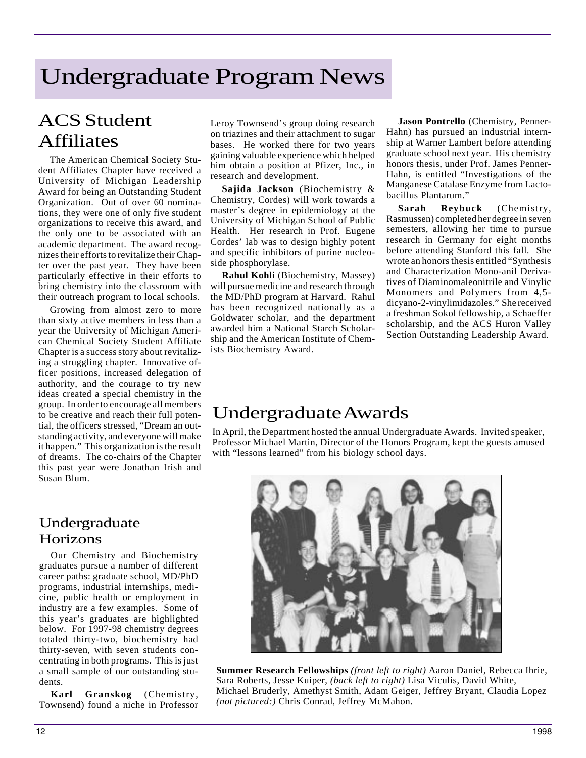# Undergraduate Program News

## ACS Student Affiliates

The American Chemical Society Student Affiliates Chapter have received a University of Michigan Leadership Award for being an Outstanding Student Organization. Out of over 60 nominations, they were one of only five student organizations to receive this award, and the only one to be associated with an academic department. The award recognizes their efforts to revitalize their Chapter over the past year. They have been particularly effective in their efforts to bring chemistry into the classroom with their outreach program to local schools.

Growing from almost zero to more than sixty active members in less than a year the University of Michigan American Chemical Society Student Affiliate Chapter is a success story about revitalizing a struggling chapter. Innovative officer positions, increased delegation of authority, and the courage to try new ideas created a special chemistry in the group. In order to encourage all members to be creative and reach their full potential, the officers stressed, "Dream an outstanding activity, and everyone will make it happen." This organization is the result of dreams. The co-chairs of the Chapter this past year were Jonathan Irish and Susan Blum.

## Undergraduate Horizons

Our Chemistry and Biochemistry graduates pursue a number of different career paths: graduate school, MD/PhD programs, industrial internships, medicine, public health or employment in industry are a few examples. Some of this year's graduates are highlighted below. For 1997-98 chemistry degrees totaled thirty-two, biochemistry had thirty-seven, with seven students concentrating in both programs. This is just a small sample of our outstanding students.

**Karl Granskog** (Chemistry, Townsend) found a niche in Professor Leroy Townsend's group doing research on triazines and their attachment to sugar bases. He worked there for two years gaining valuable experience which helped him obtain a position at Pfizer, Inc., in research and development.

**Sajida Jackson** (Biochemistry & Chemistry, Cordes) will work towards a master's degree in epidemiology at the University of Michigan School of Public Health. Her research in Prof. Eugene Cordes' lab was to design highly potent and specific inhibitors of purine nucleoside phosphorylase.

**Rahul Kohli** (Biochemistry, Massey) will pursue medicine and research through the MD/PhD program at Harvard. Rahul has been recognized nationally as a Goldwater scholar, and the department awarded him a National Starch Scholarship and the American Institute of Chemists Biochemistry Award.

**Jason Pontrello** (Chemistry, Penner-Hahn) has pursued an industrial internship at Warner Lambert before attending graduate school next year. His chemistry honors thesis, under Prof. James Penner-Hahn, is entitled "Investigations of the Manganese Catalase Enzyme from Lactobacillus Plantarum."

**Sarah Reybuck** (Chemistry, Rasmussen) completed her degree in seven semesters, allowing her time to pursue research in Germany for eight months before attending Stanford this fall. She wrote an honors thesis entitled "Synthesis and Characterization Mono-anil Derivatives of Diaminomaleonitrile and Vinylic Monomers and Polymers from 4,5 dicyano-2-vinylimidazoles." She received a freshman Sokol fellowship, a Schaeffer scholarship, and the ACS Huron Valley Section Outstanding Leadership Award.

## Undergraduate Awards

In April, the Department hosted the annual Undergraduate Awards. Invited speaker, Professor Michael Martin, Director of the Honors Program, kept the guests amused with "lessons learned" from his biology school days.



**Summer Research Fellowships** *(front left to right)* Aaron Daniel, Rebecca Ihrie, Sara Roberts, Jesse Kuiper, *(back left to right)* Lisa Viculis, David White, Michael Bruderly, Amethyst Smith, Adam Geiger, Jeffrey Bryant, Claudia Lopez *(not pictured:)* Chris Conrad, Jeffrey McMahon.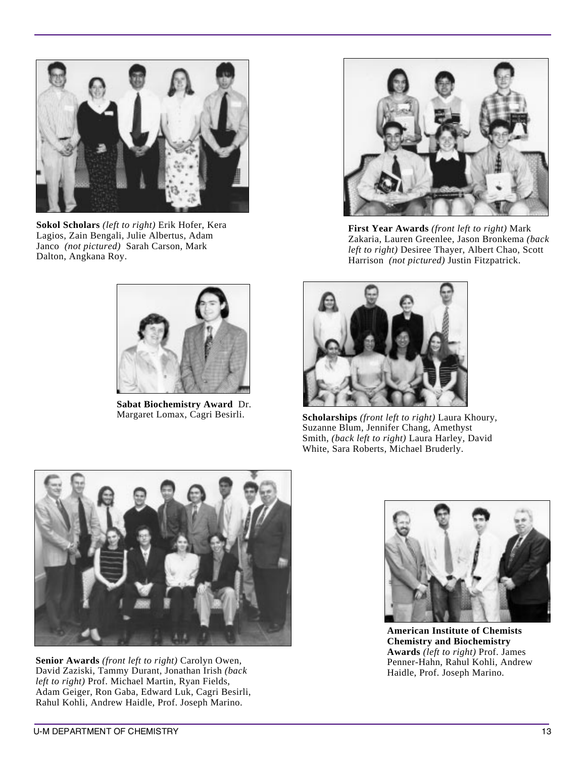

**Sokol Scholars** *(left to right)* Erik Hofer, Kera Lagios, Zain Bengali, Julie Albertus, Adam Janco *(not pictured)* Sarah Carson, Mark Dalton, Angkana Roy.



**Sabat Biochemistry Award** Dr.



**First Year Awards** *(front left to right)* Mark Zakaria, Lauren Greenlee, Jason Bronkema *(back left to right)* Desiree Thayer, Albert Chao, Scott Harrison *(not pictured)* Justin Fitzpatrick.



Scholarships (front left to right) Laura Khoury, Suzanne Blum, Jennifer Chang, Amethyst Smith, *(back left to right)* Laura Harley, David White, Sara Roberts, Michael Bruderly.



**Senior Awards** *(front left to right)* Carolyn Owen, David Zaziski, Tammy Durant, Jonathan Irish *(back left to right)* Prof. Michael Martin, Ryan Fields, Adam Geiger, Ron Gaba, Edward Luk, Cagri Besirli, Rahul Kohli, Andrew Haidle, Prof. Joseph Marino.



**American Institute of Chemists Chemistry and Biochemistry Awards** *(left to right)* Prof. James Penner-Hahn, Rahul Kohli, Andrew Haidle, Prof. Joseph Marino.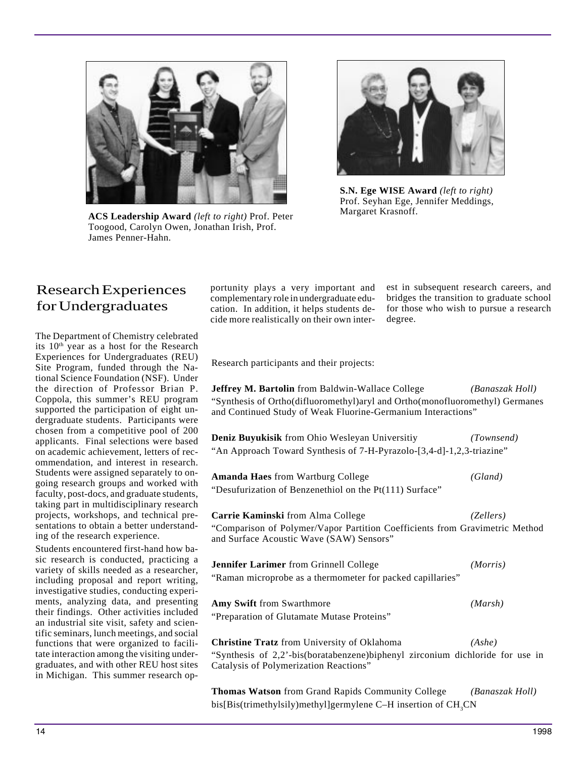

**ACS Leadership Award** *(left to right)* Prof. Peter Toogood, Carolyn Owen, Jonathan Irish, Prof. James Penner-Hahn.



**S.N. Ege WISE Award** *(left to right)* Prof. Seyhan Ege, Jennifer Meddings, Margaret Krasnoff.

## Research Experiences for Undergraduates

The Department of Chemistry celebrated its  $10<sup>th</sup>$  year as a host for the Research Experiences for Undergraduates (REU) Site Program, funded through the National Science Foundation (NSF). Under the direction of Professor Brian P. Coppola, this summer's REU program supported the participation of eight undergraduate students. Participants were chosen from a competitive pool of 200 applicants. Final selections were based on academic achievement, letters of recommendation, and interest in research. Students were assigned separately to ongoing research groups and worked with faculty, post-docs, and graduate students, taking part in multidisciplinary research projects, workshops, and technical presentations to obtain a better understanding of the research experience.

Students encountered first-hand how basic research is conducted, practicing a variety of skills needed as a researcher, including proposal and report writing, investigative studies, conducting experiments, analyzing data, and presenting their findings. Other activities included an industrial site visit, safety and scientific seminars, lunch meetings, and social functions that were organized to facilitate interaction among the visiting undergraduates, and with other REU host sites in Michigan. This summer research op-

portunity plays a very important and complementary role in undergraduate education. In addition, it helps students decide more realistically on their own interest in subsequent research careers, and bridges the transition to graduate school for those who wish to pursue a research degree.

Research participants and their projects:

**Jeffrey M. Bartolin** from Baldwin-Wallace College *(Banaszak Holl)* "Synthesis of Ortho(difluoromethyl)aryl and Ortho(monofluoromethyl) Germanes and Continued Study of Weak Fluorine-Germanium Interactions"

**Deniz Buyukisik** from Ohio Wesleyan Universitiy *(Townsend)* "An Approach Toward Synthesis of 7-H-Pyrazolo-[3,4-d]-1,2,3-triazine"

| <b>Amanda Haes</b> from Wartburg College                                                                                 | (Gland)   |
|--------------------------------------------------------------------------------------------------------------------------|-----------|
| "Desufurization of Benzenethiol on the Pt(111) Surface"                                                                  |           |
| Carrie Kaminski from Alma College                                                                                        | (Zellers) |
| "Comparison of Polymer/Vapor Partition Coefficients from Gravimetric Method<br>and Surface Acoustic Wave (SAW) Sensors"  |           |
| <b>Jennifer Larimer</b> from Grinnell College                                                                            | (Morris)  |
| "Raman microprobe as a thermometer for packed capillaries"                                                               |           |
| <b>Amy Swift</b> from Swarthmore                                                                                         | (Marsh)   |
| "Preparation of Glutamate Mutase Proteins"                                                                               |           |
| <b>Christine Tratz</b> from University of Oklahoma                                                                       | (Ashe)    |
| "Synthesis of 2,2'-bis(boratabenzene) biphenyl zirconium dichloride for use in<br>Catalysis of Polymerization Reactions" |           |
|                                                                                                                          |           |

**Thomas Watson** from Grand Rapids Community College *(Banaszak Holl)* bis[Bis(trimethylsily)methyl]germylene C–H insertion of CH<sub>3</sub>CN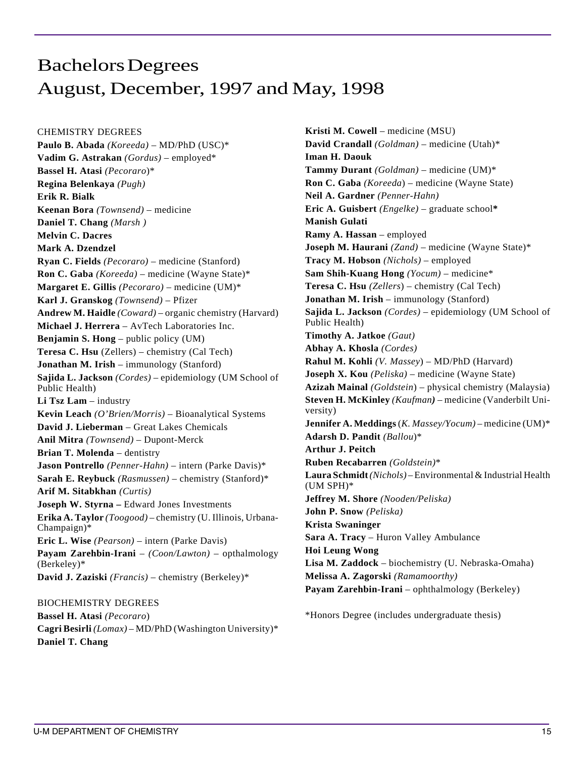## Bachelors Degrees August, December, 1997 and May, 1998

CHEMISTRY DEGREES **Paulo B. Abada** *(Koreeda)* – MD/PhD (USC)\* **Vadim G. Astrakan** *(Gordus)* – employed\* **Bassel H. Atasi** *(Pecoraro*)\* **Regina Belenkaya** *(Pugh)* **Erik R. Bialk Keenan Bora** *(Townsend) –* medicine **Daniel T. Chang** *(Marsh )* **Melvin C. Dacres Mark A. Dzendzel Ryan C. Fields** *(Pecoraro)* – medicine (Stanford) **Ron C. Gaba** *(Koreeda)* – medicine (Wayne State)\* **Margaret E. Gillis** *(Pecoraro) –* medicine (UM)\* **Karl J. Granskog** *(Townsend)* – Pfizer **Andrew M. Haidle** *(Coward)* – organic chemistry (Harvard) **Michael J. Herrera** – AvTech Laboratories Inc. **Benjamin S. Hong** – public policy (UM) **Teresa C. Hsu** (Zellers) – chemistry (Cal Tech) **Jonathan M. Irish** – immunology (Stanford) **Sajida L. Jackson** *(Cordes)* – epidemiology (UM School of Public Health) **Li Tsz Lam** – industry **Kevin Leach** *(O'Brien/Morris)* – Bioanalytical Systems **David J. Lieberman** – Great Lakes Chemicals **Anil Mitra** *(Townsend)* – Dupont-Merck **Brian T. Molenda** – dentistry **Jason Pontrello** *(Penner-Hahn)* – intern (Parke Davis)\* **Sarah E. Reybuck** *(Rasmussen)* – chemistry (Stanford)\* **Arif M. Sitabkhan** *(Curtis)* **Joseph W. Styrna –** Edward Jones Investments **Erika A. Taylor** *(Toogood)* – chemistry (U. Illinois, Urbana-Champaign)\* **Eric L. Wise** *(Pearson)* – intern (Parke Davis) **Payam Zarehbin-Irani** – *(Coon/Lawton) –* opthalmology (Berkeley)\* **David J. Zaziski** *(Francis)* – chemistry (Berkeley)\* BIOCHEMISTRY DEGREES

**Bassel H. Atasi** *(Pecoraro*) **Cagri Besirli** *(Lomax)* – MD/PhD (Washington University)\* **Daniel T. Chang**

**Kristi M. Cowell** – medicine (MSU) **David Crandall** *(Goldman)* – medicine (Utah)\* **Iman H. Daouk Tammy Durant** *(Goldman)* – medicine (UM)\* **Ron C. Gaba** *(Koreeda*) – medicine (Wayne State) **Neil A. Gardner** *(Penner-Hahn)* **Eric A. Guisbert** *(Engelke)* – graduate school**\* Manish Gulati Ramy A. Hassan** – employed **Joseph M. Haurani** *(Zand)* – medicine (Wayne State)\* **Tracy M. Hobson** *(Nichols)* – employed **Sam Shih-Kuang Hong** *(Yocum) –* medicine\* **Teresa C. Hsu** *(Zellers*) – chemistry (Cal Tech) **Jonathan M. Irish** – immunology (Stanford) **Sajida L. Jackson** *(Cordes)* – epidemiology (UM School of Public Health) **Timothy A. Jatkoe** *(Gaut)* **Abhay A. Khosla** *(Cordes)* **Rahul M. Kohli** *(V. Massey*) – MD/PhD (Harvard) **Joseph X. Kou** *(Peliska)* – medicine (Wayne State) **Azizah Mainal** *(Goldstein*) – physical chemistry (Malaysia) **Steven H. McKinley** *(Kaufman)* – medicine (Vanderbilt University) **Jennifer A. Meddings** (*K. Massey/Yocum)* – medicine (UM)\* **Adarsh D. Pandit** *(Ballou*)\* **Arthur J. Peitch Ruben Recabarren** *(Goldstein)*\* **Laura Schmidt***(Nichols)* – Environmental & Industrial Health (UM SPH)\* **Jeffrey M. Shore** *(Nooden/Peliska)* **John P. Snow** *(Peliska)* **Krista Swaninger Sara A. Tracy** – Huron Valley Ambulance **Hoi Leung Wong Lisa M. Zaddock** – biochemistry (U. Nebraska-Omaha) **Melissa A. Zagorski** *(Ramamoorthy)* **Payam Zarehbin-Irani** *–* ophthalmology (Berkeley)

\*Honors Degree (includes undergraduate thesis)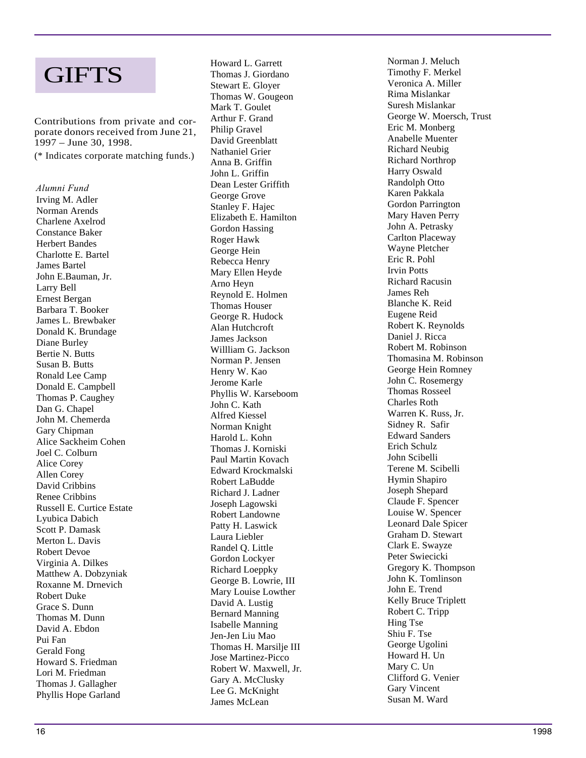# **GIFTS**

Contributions from private and corporate donors received from June 21, 1997 – June 30, 1998.

(\* Indicates corporate matching funds.)

*Alumni Fund* Irving M. Adler Norman Arends Charlene Axelrod Constance Baker Herbert Bandes Charlotte E. Bartel James Bartel John E.Bauman, Jr. Larry Bell Ernest Bergan Barbara T. Booker James L. Brewbaker Donald K. Brundage Diane Burley Bertie N. Butts Susan B. Butts Ronald Lee Camp Donald E. Campbell Thomas P. Caughey Dan G. Chapel John M. Chemerda Gary Chipman Alice Sackheim Cohen Joel C. Colburn Alice Corey Allen Corey David Cribbins Renee Cribbins Russell E. Curtice Estate Lyubica Dabich Scott P. Damask Merton L. Davis Robert Devoe Virginia A. Dilkes Matthew A. Dobzyniak Roxanne M. Drnevich Robert Duke Grace S. Dunn Thomas M. Dunn David A. Ebdon Pui Fan Gerald Fong Howard S. Friedman Lori M. Friedman Thomas J. Gallagher Phyllis Hope Garland

Howard L. Garrett Thomas J. Giordano Stewart E. Gloyer Thomas W. Gougeon Mark T. Goulet Arthur F. Grand Philip Gravel David Greenblatt Nathaniel Grier Anna B. Griffin John L. Griffin Dean Lester Griffith George Grove Stanley F. Hajec Elizabeth E. Hamilton Gordon Hassing Roger Hawk George Hein Rebecca Henry Mary Ellen Heyde Arno Heyn Reynold E. Holmen Thomas Houser George R. Hudock Alan Hutchcroft James Jackson Willliam G. Jackson Norman P. Jensen Henry W. Kao Jerome Karle Phyllis W. Karseboom John C. Kath Alfred Kiessel Norman Knight Harold L. Kohn Thomas J. Korniski Paul Martin Kovach Edward Krockmalski Robert LaBudde Richard J. Ladner Joseph Lagowski Robert Landowne Patty H. Laswick Laura Liebler Randel Q. Little Gordon Lockyer Richard Loeppky George B. Lowrie, III Mary Louise Lowther David A. Lustig Bernard Manning Isabelle Manning Jen-Jen Liu Mao Thomas H. Marsilje III Jose Martinez-Picco Robert W. Maxwell, Jr. Gary A. McClusky Lee G. McKnight James McLean

Norman J. Meluch Timothy F. Merkel Veronica A. Miller Rima Mislankar Suresh Mislankar George W. Moersch, Trust Eric M. Monberg Anabelle Muenter Richard Neubig Richard Northrop Harry Oswald Randolph Otto Karen Pakkala Gordon Parrington Mary Haven Perry John A. Petrasky Carlton Placeway Wayne Pletcher Eric R. Pohl Irvin Potts Richard Racusin James Reh Blanche K. Reid Eugene Reid Robert K. Reynolds Daniel J. Ricca Robert M. Robinson Thomasina M. Robinson George Hein Romney John C. Rosemergy Thomas Rosseel Charles Roth Warren K. Russ, Jr. Sidney R. Safir Edward Sanders Erich Schulz John Scibelli Terene M. Scibelli Hymin Shapiro Joseph Shepard Claude F. Spencer Louise W. Spencer Leonard Dale Spicer Graham D. Stewart Clark E. Swayze Peter Swiecicki Gregory K. Thompson John K. Tomlinson John E. Trend Kelly Bruce Triplett Robert C. Tripp Hing Tse Shiu F. Tse George Ugolini Howard H. Un Mary C. Un Clifford G. Venier Gary Vincent Susan M. Ward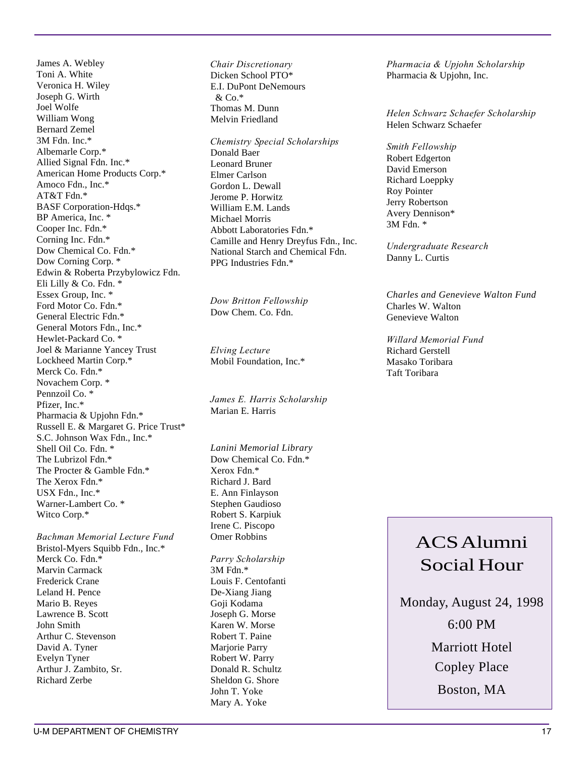James A. Webley Toni A. White Veronica H. Wiley Joseph G. Wirth Joel Wolfe William Wong Bernard Zemel 3M Fdn. Inc.\* Albemarle Corp.\* Allied Signal Fdn. Inc.\* American Home Products Corp.\* Amoco Fdn., Inc.\* AT&T Fdn.\* BASF Corporation-Hdqs.\* BP America, Inc. \* Cooper Inc. Fdn.\* Corning Inc. Fdn.\* Dow Chemical Co. Fdn.\* Dow Corning Corp. \* Edwin & Roberta Przybylowicz Fdn. Eli Lilly & Co. Fdn. \* Essex Group, Inc. \* Ford Motor Co. Fdn.\* General Electric Fdn.\* General Motors Fdn., Inc.\* Hewlet-Packard Co. \* Joel & Marianne Yancey Trust Lockheed Martin Corp.\* Merck Co. Fdn.\* Novachem Corp. \* Pennzoil Co. \* Pfizer, Inc.\* Pharmacia & Upjohn Fdn.\* Russell E. & Margaret G. Price Trust\* S.C. Johnson Wax Fdn., Inc.\* Shell Oil Co. Fdn. \* The Lubrizol Fdn.\* The Procter & Gamble Fdn.\* The Xerox Fdn.\* USX Fdn., Inc.\* Warner-Lambert Co. \* Witco Corp.\*

*Bachman Memorial Lecture Fund* Bristol-Myers Squibb Fdn., Inc.\* Merck Co. Fdn.\* Marvin Carmack Frederick Crane Leland H. Pence Mario B. Reyes Lawrence B. Scott John Smith Arthur C. Stevenson David A. Tyner Evelyn Tyner Arthur J. Zambito, Sr. Richard Zerbe

*Chair Discretionary* Dicken School PTO\* E.I. DuPont DeNemours  $&$  Co. $*$ Thomas M. Dunn Melvin Friedland

*Chemistry Special Scholarships* Donald Baer Leonard Bruner Elmer Carlson Gordon L. Dewall Jerome P. Horwitz William E.M. Lands Michael Morris Abbott Laboratories Fdn.\* Camille and Henry Dreyfus Fdn., Inc. National Starch and Chemical Fdn. PPG Industries Fdn.\*

*Dow Britton Fellowship* Dow Chem. Co. Fdn.

*Elving Lecture* Mobil Foundation, Inc.\*

*James E. Harris Scholarship* Marian E. Harris

*Lanini Memorial Library* Dow Chemical Co. Fdn.\* Xerox Fdn.\* Richard J. Bard E. Ann Finlayson Stephen Gaudioso Robert S. Karpiuk Irene C. Piscopo Omer Robbins

*Parry Scholarship* 3M Fdn.\* Louis F. Centofanti De-Xiang Jiang Goji Kodama Joseph G. Morse Karen W. Morse Robert T. Paine Marjorie Parry Robert W. Parry Donald R. Schultz Sheldon G. Shore John T. Yoke Mary A. Yoke

*Pharmacia & Upjohn Scholarship* Pharmacia & Upjohn, Inc.

*Helen Schwarz Schaefer Scholarship* Helen Schwarz Schaefer

*Smith Fellowship* Robert Edgerton David Emerson Richard Loeppky Roy Pointer Jerry Robertson Avery Dennison\* 3M Fdn. \*

*Undergraduate Research* Danny L. Curtis

*Charles and Genevieve Walton Fund* Charles W. Walton Genevieve Walton

*Willard Memorial Fund* Richard Gerstell Masako Toribara Taft Toribara

## ACS Alumni Social Hour

Monday, August 24, 1998 6:00 PM Marriott Hotel Copley Place Boston, MA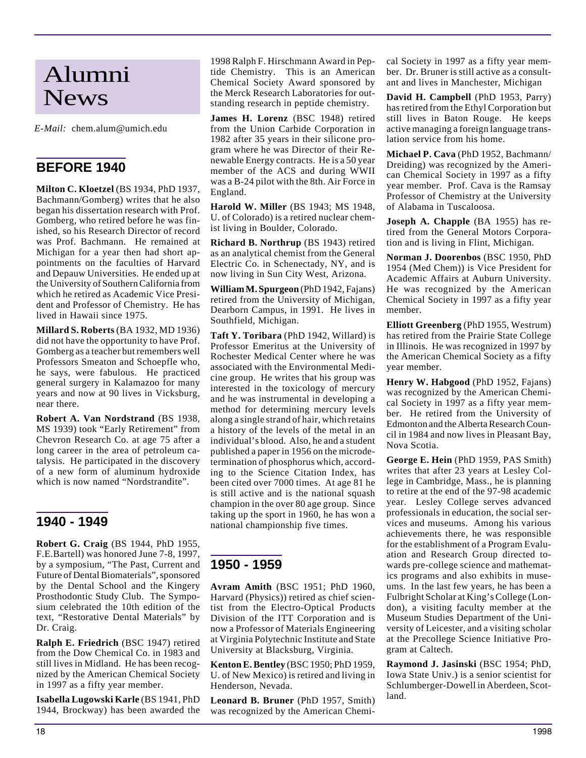## Alumni News

*E-Mail:* chem.alum@umich.edu

### **BEFORE 1940**

**Milton C. Kloetzel** (BS 1934, PhD 1937, Bachmann/Gomberg) writes that he also began his dissertation research with Prof. Gomberg, who retired before he was finished, so his Research Director of record was Prof. Bachmann. He remained at Michigan for a year then had short appointments on the faculties of Harvard and Depauw Universities. He ended up at the University of Southern California from which he retired as Academic Vice President and Professor of Chemistry. He has lived in Hawaii since 1975.

**Millard S. Roberts**(BA 1932, MD 1936) did not have the opportunity to have Prof. Gomberg as a teacher but remembers well Professors Smeaton and Schoepfle who, he says, were fabulous. He practiced general surgery in Kalamazoo for many years and now at 90 lives in Vicksburg, near there.

**Robert A. Van Nordstrand** (BS 1938, MS 1939) took "Early Retirement" from Chevron Research Co. at age 75 after a long career in the area of petroleum catalysis. He participated in the discovery of a new form of aluminum hydroxide which is now named "Nordstrandite".

### **1940 - 1949**

**Robert G. Craig** (BS 1944, PhD 1955, F.E.Bartell) was honored June 7-8, 1997, by a symposium, "The Past, Current and Future of Dental Biomaterials", sponsored by the Dental School and the Kingery Prosthodontic Study Club. The Symposium celebrated the 10th edition of the text, "Restorative Dental Materials" by Dr. Craig.

**Ralph E. Friedrich** (BSC 1947) retired from the Dow Chemical Co. in 1983 and still lives in Midland. He has been recognized by the American Chemical Society in 1997 as a fifty year member.

**Isabella Lugowski Karle** (BS 1941, PhD 1944, Brockway) has been awarded the

1998 Ralph F. Hirschmann Award in Peptide Chemistry. This is an American Chemical Society Award sponsored by the Merck Research Laboratories for outstanding research in peptide chemistry.

**James H. Lorenz** (BSC 1948) retired from the Union Carbide Corporation in 1982 after 35 years in their silicone program where he was Director of their Renewable Energy contracts. He is a 50 year member of the ACS and during WWII was a B-24 pilot with the 8th. Air Force in England.

**Harold W. Miller** (BS 1943; MS 1948, U. of Colorado) is a retired nuclear chemist living in Boulder, Colorado.

**Richard B. Northrup** (BS 1943) retired as an analytical chemist from the General Electric Co. in Schenectady, NY, and is now living in Sun City West, Arizona.

**William M. Spurgeon** (PhD 1942, Fajans) retired from the University of Michigan, Dearborn Campus, in 1991. He lives in Southfield, Michigan.

**Taft Y. Toribara** (PhD 1942, Willard) is Professor Emeritus at the University of Rochester Medical Center where he was associated with the Environmental Medicine group. He writes that his group was interested in the toxicology of mercury and he was instrumental in developing a method for determining mercury levels along a single strand of hair, which retains a history of the levels of the metal in an individual's blood. Also, he and a student published a paper in 1956 on the microdetermination of phosphorus which, according to the Science Citation Index, has been cited over 7000 times. At age 81 he is still active and is the national squash champion in the over 80 age group. Since taking up the sport in 1960, he has won a national championship five times.

## **1950 - 1959**

**Avram Amith** (BSC 1951; PhD 1960, Harvard (Physics)) retired as chief scientist from the Electro-Optical Products Division of the ITT Corporation and is now a Professor of Materials Engineering at Virginia Polytechnic Institute and State University at Blacksburg, Virginia.

**Kenton E. Bentley** (BSC 1950; PhD 1959, U. of New Mexico) is retired and living in Henderson, Nevada.

**Leonard B. Bruner** (PhD 1957, Smith) was recognized by the American Chemical Society in 1997 as a fifty year member. Dr. Bruner is still active as a consultant and lives in Manchester, Michigan

**David H. Campbell** (PhD 1953, Parry) has retired from the Ethyl Corporation but still lives in Baton Rouge. He keeps active managing a foreign language translation service from his home.

**Michael P. Cava** (PhD 1952, Bachmann/ Dreiding) was recognized by the American Chemical Society in 1997 as a fifty year member. Prof. Cava is the Ramsay Professor of Chemistry at the University of Alabama in Tuscaloosa.

**Joseph A. Chapple** (BA 1955) has retired from the General Motors Corporation and is living in Flint, Michigan.

**Norman J. Doorenbos** (BSC 1950, PhD 1954 (Med Chem)) is Vice President for Academic Affairs at Auburn University. He was recognized by the American Chemical Society in 1997 as a fifty year member.

**Elliott Greenberg** (PhD 1955, Westrum) has retired from the Prairie State College in Illinois. He was recognized in 1997 by the American Chemical Society as a fifty year member.

**Henry W. Habgood** (PhD 1952, Fajans) was recognized by the American Chemical Society in 1997 as a fifty year member. He retired from the University of Edmonton and the Alberta Research Council in 1984 and now lives in Pleasant Bay, Nova Scotia.

**George E. Hein** (PhD 1959, PAS Smith) writes that after 23 years at Lesley College in Cambridge, Mass., he is planning to retire at the end of the 97-98 academic year. Lesley College serves advanced professionals in education, the social services and museums. Among his various achievements there, he was responsible for the establishment of a Program Evaluation and Research Group directed towards pre-college science and mathematics programs and also exhibits in museums. In the last few years, he has been a Fulbright Scholar at King's College (London), a visiting faculty member at the Museum Studies Department of the University of Leicester, and a visiting scholar at the Precollege Science Initiative Program at Caltech.

**Raymond J. Jasinski** (BSC 1954; PhD, Iowa State Univ.) is a senior scientist for Schlumberger-Dowell in Aberdeen, Scotland.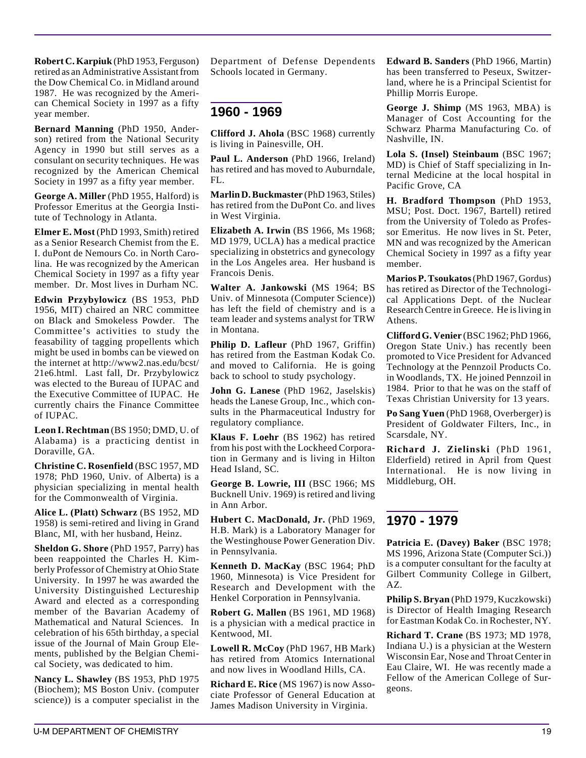**Robert C. Karpiuk** (PhD 1953, Ferguson) retired as an Administrative Assistant from the Dow Chemical Co. in Midland around 1987. He was recognized by the American Chemical Society in 1997 as a fifty year member.

**Bernard Manning** (PhD 1950, Anderson) retired from the National Security Agency in 1990 but still serves as a consulant on security techniques. He was recognized by the American Chemical Society in 1997 as a fifty year member.

**George A. Miller** (PhD 1955, Halford) is Professor Emeritus at the Georgia Institute of Technology in Atlanta.

**Elmer E. Most** (PhD 1993, Smith) retired as a Senior Research Chemist from the E. I. duPont de Nemours Co. in North Carolina. He was recognized by the American Chemical Society in 1997 as a fifty year member. Dr. Most lives in Durham NC.

**Edwin Przybylowicz** (BS 1953, PhD 1956, MIT) chaired an NRC committee on Black and Smokeless Powder. The Committee's activities to study the feasability of tagging propellents which might be used in bombs can be viewed on the internet at http://www2.nas.edu/bcst/ 21e6.html. Last fall, Dr. Przybylowicz was elected to the Bureau of IUPAC and the Executive Committee of IUPAC. He currently chairs the Finance Committee of IUPAC.

**Leon I. Rechtman** (BS 1950; DMD, U. of Alabama) is a practicing dentist in Doraville, GA.

**Christine C. Rosenfield** (BSC 1957, MD 1978; PhD 1960, Univ. of Alberta) is a physician specializing in mental health for the Commonwealth of Virginia.

**Alice L. (Platt) Schwarz** (BS 1952, MD 1958) is semi-retired and living in Grand Blanc, MI, with her husband, Heinz.

**Sheldon G. Shore** (PhD 1957, Parry) has been reappointed the Charles H. Kimberly Professor of Chemistry at Ohio State University. In 1997 he was awarded the University Distinguished Lectureship Award and elected as a corresponding member of the Bavarian Academy of Mathematical and Natural Sciences. In celebration of his 65th birthday, a special issue of the Journal of Main Group Elements, published by the Belgian Chemical Society, was dedicated to him.

**Nancy L. Shawley** (BS 1953, PhD 1975 (Biochem); MS Boston Univ. (computer science)) is a computer specialist in the Department of Defense Dependents Schools located in Germany.

## **1960 - 1969**

**Clifford J. Ahola** (BSC 1968) currently is living in Painesville, OH.

**Paul L. Anderson** (PhD 1966, Ireland) has retired and has moved to Auburndale,  $FL.$ 

**Marlin D. Buckmaster** (PhD 1963, Stiles) has retired from the DuPont Co. and lives in West Virginia.

**Elizabeth A. Irwin** (BS 1966, Ms 1968; MD 1979, UCLA) has a medical practice specializing in obstetrics and gynecology in the Los Angeles area. Her husband is Francois Denis.

**Walter A. Jankowski** (MS 1964; BS Univ. of Minnesota (Computer Science)) has left the field of chemistry and is a team leader and systems analyst for TRW in Montana.

**Philip D. Lafleur** (PhD 1967, Griffin) has retired from the Eastman Kodak Co. and moved to California. He is going back to school to study psychology.

**John G. Lanese** (PhD 1962, Jaselskis) heads the Lanese Group, Inc., which consults in the Pharmaceutical Industry for regulatory compliance.

**Klaus F. Loehr** (BS 1962) has retired from his post with the Lockheed Corporation in Germany and is living in Hilton Head Island, SC.

**George B. Lowrie, III** (BSC 1966; MS Bucknell Univ. 1969) is retired and living in Ann Arbor.

**Hubert C. MacDonald, Jr.** (PhD 1969, H.B. Mark) is a Laboratory Manager for the Westinghouse Power Generation Div. in Pennsylvania.

**Kenneth D. MacKay** (BSC 1964; PhD 1960, Minnesota) is Vice President for Research and Development with the Henkel Corporation in Pennsylvania.

**Robert G. Mallen** (BS 1961, MD 1968) is a physician with a medical practice in Kentwood, MI.

**Lowell R. McCoy** (PhD 1967, HB Mark) has retired from Atomics International and now lives in Woodland Hills, CA.

**Richard E. Rice** (MS 1967) is now Associate Professor of General Education at James Madison University in Virginia.

**Edward B. Sanders** (PhD 1966, Martin) has been transferred to Peseux, Switzerland, where he is a Principal Scientist for Phillip Morris Europe.

**George J. Shimp** (MS 1963, MBA) is Manager of Cost Accounting for the Schwarz Pharma Manufacturing Co. of Nashville, IN.

**Lola S. (Insel) Steinbaum** (BSC 1967; MD) is Chief of Staff specializing in Internal Medicine at the local hospital in Pacific Grove, CA

**H. Bradford Thompson** (PhD 1953, MSU; Post. Doct. 1967, Bartell) retired from the University of Toledo as Professor Emeritus. He now lives in St. Peter, MN and was recognized by the American Chemical Society in 1997 as a fifty year member.

**Marios P. Tsoukatos**(PhD 1967, Gordus) has retired as Director of the Technological Applications Dept. of the Nuclear Research Centre in Greece. He is living in Athens.

**Clifford G. Venier** (BSC 1962; PhD 1966, Oregon State Univ.) has recently been promoted to Vice President for Advanced Technology at the Pennzoil Products Co. in Woodlands, TX. He joined Pennzoil in 1984. Prior to that he was on the staff of Texas Christian University for 13 years.

**Po Sang Yuen** (PhD 1968, Overberger) is President of Goldwater Filters, Inc., in Scarsdale, NY.

**Richard J. Zielinski** (PhD 1961, Elderfield) retired in April from Quest International. He is now living in Middleburg, OH.

### **1970 - 1979**

**Patricia E. (Davey) Baker** (BSC 1978; MS 1996, Arizona State (Computer Sci.)) is a computer consultant for the faculty at Gilbert Community College in Gilbert, AZ.

**Philip S. Bryan** (PhD 1979, Kuczkowski) is Director of Health Imaging Research for Eastman Kodak Co. in Rochester, NY.

**Richard T. Crane** (BS 1973; MD 1978, Indiana U.) is a physician at the Western Wisconsin Ear, Nose and Throat Center in Eau Claire, WI. He was recently made a Fellow of the American College of Surgeons.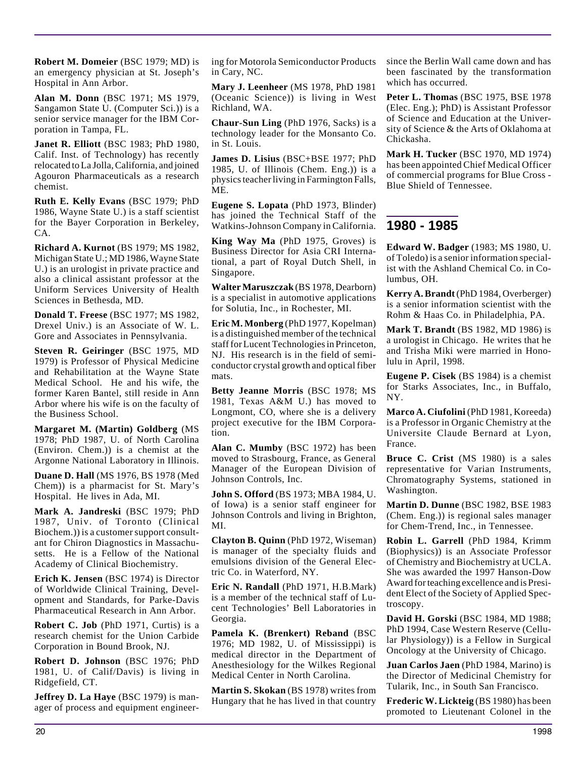**Robert M. Domeier** (BSC 1979; MD) is an emergency physician at St. Joseph's Hospital in Ann Arbor.

**Alan M. Donn** (BSC 1971; MS 1979, Sangamon State U. (Computer Sci.)) is a senior service manager for the IBM Corporation in Tampa, FL.

**Janet R. Elliott** (BSC 1983; PhD 1980, Calif. Inst. of Technology) has recently relocated to La Jolla, California, and joined Agouron Pharmaceuticals as a research chemist.

**Ruth E. Kelly Evans** (BSC 1979; PhD 1986, Wayne State U.) is a staff scientist for the Bayer Corporation in Berkeley, CA.

**Richard A. Kurnot** (BS 1979; MS 1982, Michigan State U.; MD 1986, Wayne State U.) is an urologist in private practice and also a clinical assistant professor at the Uniform Services University of Health Sciences in Bethesda, MD.

**Donald T. Freese** (BSC 1977; MS 1982, Drexel Univ.) is an Associate of W. L. Gore and Associates in Pennsylvania.

**Steven R. Geiringer** (BSC 1975, MD 1979) is Professor of Physical Medicine and Rehabilitation at the Wayne State Medical School. He and his wife, the former Karen Bantel, still reside in Ann Arbor where his wife is on the faculty of the Business School.

**Margaret M. (Martin) Goldberg** (MS 1978; PhD 1987, U. of North Carolina (Environ. Chem.)) is a chemist at the Argonne National Laboratory in Illinois.

**Duane D. Hall** (MS 1976, BS 1978 (Med Chem)) is a pharmacist for St. Mary's Hospital. He lives in Ada, MI.

**Mark A. Jandreski** (BSC 1979; PhD 1987, Univ. of Toronto (Clinical Biochem.)) is a customer support consultant for Chiron Diagnostics in Massachusetts. He is a Fellow of the National Academy of Clinical Biochemistry.

**Erich K. Jensen** (BSC 1974) is Director of Worldwide Clinical Training, Development and Standards, for Parke-Davis Pharmaceutical Research in Ann Arbor.

**Robert C. Job** (PhD 1971, Curtis) is a research chemist for the Union Carbide Corporation in Bound Brook, NJ.

**Robert D. Johnson** (BSC 1976; PhD 1981, U. of Calif/Davis) is living in Ridgefield, CT.

**Jeffrey D. La Haye** (BSC 1979) is manager of process and equipment engineering for Motorola Semiconductor Products in Cary, NC.

**Mary J. Leenheer** (MS 1978, PhD 1981 (Oceanic Science)) is living in West Richland, WA.

**Chaur-Sun Ling** (PhD 1976, Sacks) is a technology leader for the Monsanto Co. in St. Louis.

**James D. Lisius** (BSC+BSE 1977; PhD 1985, U. of Illinois (Chem. Eng.)) is a physics teacher living in Farmington Falls, ME.

**Eugene S. Lopata** (PhD 1973, Blinder) has joined the Technical Staff of the Watkins-Johnson Company in California.

**King Way Ma** (PhD 1975, Groves) is Business Director for Asia CRI International, a part of Royal Dutch Shell, in Singapore.

**Walter Maruszczak** (BS 1978, Dearborn) is a specialist in automotive applications for Solutia, Inc., in Rochester, MI.

**Eric M. Monberg** (PhD 1977, Kopelman) is a distinguished member of the technical staff for Lucent Technologies in Princeton, NJ. His research is in the field of semiconductor crystal growth and optical fiber mats.

**Betty Jeanne Morris** (BSC 1978; MS 1981, Texas A&M U.) has moved to Longmont, CO, where she is a delivery project executive for the IBM Corporation.

**Alan C. Mumby** (BSC 1972) has been moved to Strasbourg, France, as General Manager of the European Division of Johnson Controls, Inc.

**John S. Offord** (BS 1973; MBA 1984, U. of Iowa) is a senior staff engineer for Johnson Controls and living in Brighton, MI.

**Clayton B. Quinn** (PhD 1972, Wiseman) is manager of the specialty fluids and emulsions division of the General Electric Co. in Waterford, NY.

**Eric N. Randall** (PhD 1971, H.B.Mark) is a member of the technical staff of Lucent Technologies' Bell Laboratories in Georgia.

**Pamela K. (Brenkert) Reband** (BSC 1976; MD 1982, U. of Mississippi) is medical director in the Department of Anesthesiology for the Wilkes Regional Medical Center in North Carolina.

**Martin S. Skokan** (BS 1978) writes from Hungary that he has lived in that country since the Berlin Wall came down and has been fascinated by the transformation which has occurred.

**Peter L. Thomas** (BSC 1975, BSE 1978 (Elec. Eng.); PhD) is Assistant Professor of Science and Education at the University of Science & the Arts of Oklahoma at Chickasha.

**Mark H. Tucker** (BSC 1970, MD 1974) has been appointed Chief Medical Officer of commercial programs for Blue Cross - Blue Shield of Tennessee.

## **1980 - 1985**

**Edward W. Badger** (1983; MS 1980, U. of Toledo) is a senior information specialist with the Ashland Chemical Co. in Columbus, OH.

**Kerry A. Brandt**(PhD 1984, Overberger) is a senior information scientist with the Rohm & Haas Co. in Philadelphia, PA.

**Mark T. Brandt** (BS 1982, MD 1986) is a urologist in Chicago. He writes that he and Trisha Miki were married in Honolulu in April, 1998.

**Eugene P. Cisek** (BS 1984) is a chemist for Starks Associates, Inc., in Buffalo, NY.

**Marco A. Ciufolini** (PhD 1981, Koreeda) is a Professor in Organic Chemistry at the Universite Claude Bernard at Lyon, France.

**Bruce C. Crist** (MS 1980) is a sales representative for Varian Instruments, Chromatography Systems, stationed in Washington.

**Martin D. Dunne** (BSC 1982, BSE 1983 (Chem. Eng.)) is regional sales manager for Chem-Trend, Inc., in Tennessee.

**Robin L. Garrell** (PhD 1984, Krimm (Biophysics)) is an Associate Professor of Chemistry and Biochemistry at UCLA. She was awarded the 1997 Hanson-Dow Award for teaching excellence and is President Elect of the Society of Applied Spectroscopy.

**David H. Gorski** (BSC 1984, MD 1988; PhD 1994, Case Western Reserve (Cellular Physiology)) is a Fellow in Surgical Oncology at the University of Chicago.

**Juan Carlos Jaen** (PhD 1984, Marino) is the Director of Medicinal Chemistry for Tularik, Inc., in South San Francisco.

**Frederic W. Lickteig** (BS 1980) has been promoted to Lieutenant Colonel in the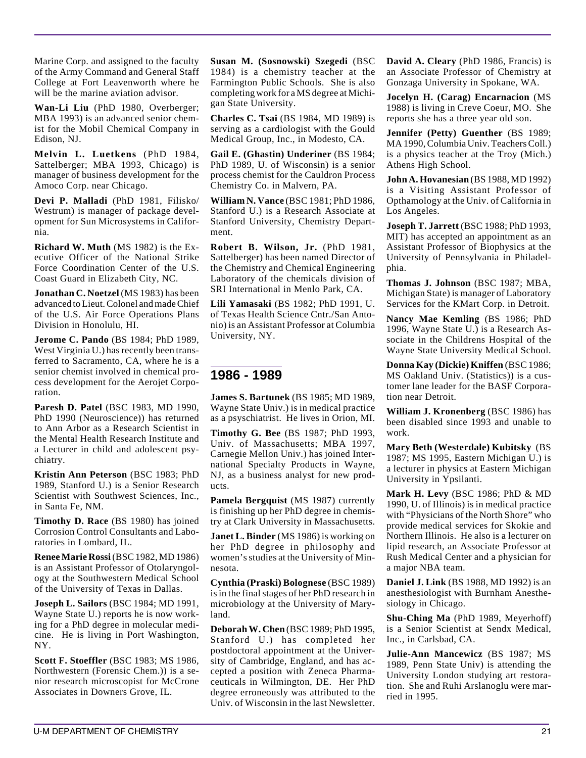Marine Corp. and assigned to the faculty of the Army Command and General Staff College at Fort Leavenworth where he will be the marine aviation advisor.

**Wan-Li Liu** (PhD 1980, Overberger; MBA 1993) is an advanced senior chemist for the Mobil Chemical Company in Edison, NJ.

**Melvin L. Luetkens** (PhD 1984, Sattelberger; MBA 1993, Chicago) is manager of business development for the Amoco Corp. near Chicago.

**Devi P. Malladi** (PhD 1981, Filisko/ Westrum) is manager of package development for Sun Microsystems in California.

**Richard W. Muth** (MS 1982) is the Executive Officer of the National Strike Force Coordination Center of the U.S. Coast Guard in Elizabeth City, NC.

**Jonathan C. Noetzel** (MS 1983) has been advanced to Lieut. Colonel and made Chief of the U.S. Air Force Operations Plans Division in Honolulu, HI.

**Jerome C. Pando** (BS 1984; PhD 1989, West Virginia U.) has recently been transferred to Sacramento, CA, where he is a senior chemist involved in chemical process development for the Aerojet Corporation.

**Paresh D. Patel** (BSC 1983, MD 1990, PhD 1990 (Neuroscience)) has returned to Ann Arbor as a Research Scientist in the Mental Health Research Institute and a Lecturer in child and adolescent psychiatry.

**Kristin Ann Peterson** (BSC 1983; PhD 1989, Stanford U.) is a Senior Research Scientist with Southwest Sciences, Inc., in Santa Fe, NM.

**Timothy D. Race** (BS 1980) has joined Corrosion Control Consultants and Laboratories in Lombard, IL.

**Renee Marie Rossi**(BSC 1982, MD 1986) is an Assistant Professor of Otolaryngology at the Southwestern Medical School of the University of Texas in Dallas.

**Joseph L. Sailors** (BSC 1984; MD 1991, Wayne State U.) reports he is now working for a PhD degree in molecular medicine. He is living in Port Washington, NY.

**Scott F. Stoeffler** (BSC 1983; MS 1986, Northwestern (Forensic Chem.)) is a senior research microscopist for McCrone Associates in Downers Grove, IL.

**Susan M. (Sosnowski) Szegedi** (BSC 1984) is a chemistry teacher at the Farmington Public Schools. She is also completing work for a MS degree at Michigan State University.

**Charles C. Tsai** (BS 1984, MD 1989) is serving as a cardiologist with the Gould Medical Group, Inc., in Modesto, CA.

**Gail E. (Ghastin) Underiner** (BS 1984; PhD 1989, U. of Wisconsin) is a senior process chemist for the Cauldron Process Chemistry Co. in Malvern, PA.

**William N. Vance** (BSC 1981; PhD 1986, Stanford U.) is a Research Associate at Stanford University, Chemistry Department.

**Robert B. Wilson, Jr.** (PhD 1981, Sattelberger) has been named Director of the Chemistry and Chemical Engineering Laboratory of the chemicals division of SRI International in Menlo Park, CA.

**Lili Yamasaki** (BS 1982; PhD 1991, U. of Texas Health Science Cntr./San Antonio) is an Assistant Professor at Columbia University, NY.

### **1986 - 1989**

**James S. Bartunek** (BS 1985; MD 1989, Wayne State Univ.) is in medical practice as a psyschiatrist. He lives in Orion, MI.

**Timothy G. Bee** (BS 1987; PhD 1993, Univ. of Massachusetts; MBA 1997, Carnegie Mellon Univ.) has joined International Specialty Products in Wayne, NJ, as a business analyst for new products.

**Pamela Bergquist** (MS 1987) currently is finishing up her PhD degree in chemistry at Clark University in Massachusetts.

**Janet L. Binder** (MS 1986) is working on her PhD degree in philosophy and women's studies at the University of Minnesota.

**Cynthia (Praski) Bolognese** (BSC 1989) is in the final stages of her PhD research in microbiology at the University of Maryland.

**Deborah W. Chen** (BSC 1989; PhD 1995, Stanford U.) has completed her postdoctoral appointment at the University of Cambridge, England, and has accepted a position with Zeneca Pharmaceuticals in Wilmington, DE. Her PhD degree erroneously was attributed to the Univ. of Wisconsin in the last Newsletter.

**David A. Cleary** (PhD 1986, Francis) is an Associate Professor of Chemistry at Gonzaga University in Spokane, WA.

**Jocelyn H. (Carag) Encarnacion** (MS 1988) is living in Creve Coeur, MO. She reports she has a three year old son.

**Jennifer (Petty) Guenther** (BS 1989; MA 1990, Columbia Univ. Teachers Coll.) is a physics teacher at the Troy (Mich.) Athens High School.

**John A. Hovanesian** (BS 1988, MD 1992) is a Visiting Assistant Professor of Opthamology at the Univ. of California in Los Angeles.

**Joseph T. Jarrett** (BSC 1988; PhD 1993, MIT) has accepted an appointment as an Assistant Professor of Biophysics at the University of Pennsylvania in Philadelphia.

**Thomas J. Johnson** (BSC 1987; MBA, Michigan State) is manager of Laboratory Services for the KMart Corp. in Detroit.

**Nancy Mae Kemling** (BS 1986; PhD 1996, Wayne State U.) is a Research Associate in the Childrens Hospital of the Wayne State University Medical School.

**Donna Kay (Dickie) Kniffen** (BSC 1986; MS Oakland Univ. (Statistics)) is a customer lane leader for the BASF Corporation near Detroit.

**William J. Kronenberg** (BSC 1986) has been disabled since 1993 and unable to work.

**Mary Beth (Westerdale) Kubitsky** (BS 1987; MS 1995, Eastern Michigan U.) is a lecturer in physics at Eastern Michigan University in Ypsilanti.

**Mark H. Levy** (BSC 1986; PhD & MD 1990, U. of Illinois) is in medical practice with "Physicians of the North Shore" who provide medical services for Skokie and Northern Illinois. He also is a lecturer on lipid research, an Associate Professor at Rush Medical Center and a physician for a major NBA team.

**Daniel J. Link** (BS 1988, MD 1992) is an anesthesiologist with Burnham Anesthesiology in Chicago.

**Shu-Ching Ma** (PhD 1989, Meyerhoff) is a Senior Scientist at Sendx Medical, Inc., in Carlsbad, CA.

**Julie-Ann Mancewicz** (BS 1987; MS 1989, Penn State Univ) is attending the University London studying art restoration. She and Ruhi Arslanoglu were married in 1995.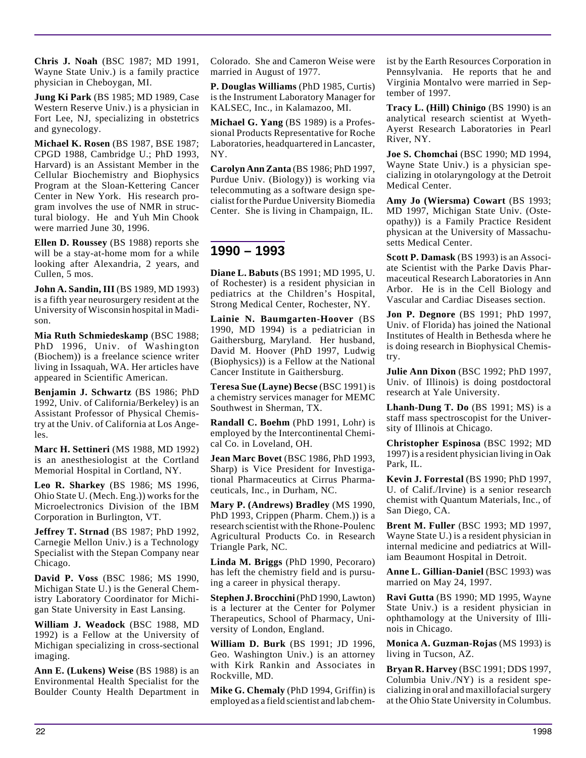**Chris J. Noah** (BSC 1987; MD 1991, Wayne State Univ.) is a family practice physician in Cheboygan, MI.

**Jung Ki Park** (BS 1985; MD 1989, Case Western Reserve Univ.) is a physician in Fort Lee, NJ, specializing in obstetrics and gynecology.

**Michael K. Rosen** (BS 1987, BSE 1987; CPGD 1988, Cambridge U.; PhD 1993, Harvard) is an Assistant Member in the Cellular Biochemistry and Biophysics Program at the Sloan-Kettering Cancer Center in New York. His research program involves the use of NMR in structural biology. He and Yuh Min Chook were married June 30, 1996.

**Ellen D. Roussey** (BS 1988) reports she will be a stay-at-home mom for a while looking after Alexandria, 2 years, and Cullen, 5 mos.

**John A. Sandin, III** (BS 1989, MD 1993) is a fifth year neurosurgery resident at the University of Wisconsin hospital in Madison.

**Mia Ruth Schmiedeskamp** (BSC 1988; PhD 1996, Univ. of Washington (Biochem)) is a freelance science writer living in Issaquah, WA. Her articles have appeared in Scientific American.

**Benjamin J. Schwartz** (BS 1986; PhD 1992, Univ. of California/Berkeley) is an Assistant Professor of Physical Chemistry at the Univ. of California at Los Angeles.

**Marc H. Settineri** (MS 1988, MD 1992) is an anesthesiologist at the Cortland Memorial Hospital in Cortland, NY.

**Leo R. Sharkey** (BS 1986; MS 1996, Ohio State U. (Mech. Eng.)) works for the Microelectronics Division of the IBM Corporation in Burlington, VT.

**Jeffrey T. Strnad** (BS 1987; PhD 1992, Carnegie Mellon Univ.) is a Technology Specialist with the Stepan Company near Chicago.

**David P. Voss** (BSC 1986; MS 1990, Michigan State U.) is the General Chemistry Laboratory Coordinator for Michigan State University in East Lansing.

**William J. Weadock** (BSC 1988, MD 1992) is a Fellow at the University of Michigan specializing in cross-sectional imaging.

**Ann E. (Lukens) Weise** (BS 1988) is an Environmental Health Specialist for the Boulder County Health Department in

Colorado. She and Cameron Weise were married in August of 1977.

**P. Douglas Williams** (PhD 1985, Curtis) is the Instrument Laboratory Manager for KALSEC, Inc., in Kalamazoo, MI.

**Michael G. Yang** (BS 1989) is a Professional Products Representative for Roche Laboratories, headquartered in Lancaster, NY.

**Carolyn Ann Zanta** (BS 1986; PhD 1997, Purdue Univ. (Biology)) is working via telecommuting as a software design specialist for the Purdue University Biomedia Center. She is living in Champaign, IL.

### **1990 – 1993**

**Diane L. Babuts** (BS 1991; MD 1995, U. of Rochester) is a resident physician in pediatrics at the Children's Hospital, Strong Medical Center, Rochester, NY.

**Lainie N. Baumgarten-Hoover** (BS 1990, MD 1994) is a pediatrician in Gaithersburg, Maryland. Her husband, David M. Hoover (PhD 1997, Ludwig (Biophysics)) is a Fellow at the National Cancer Institute in Gaithersburg.

**Teresa Sue (Layne) Becse** (BSC 1991) is a chemistry services manager for MEMC Southwest in Sherman, TX.

**Randall C. Boehm** (PhD 1991, Lohr) is employed by the Intercontinental Chemical Co. in Loveland, OH.

**Jean Marc Bovet** (BSC 1986, PhD 1993, Sharp) is Vice President for Investigational Pharmaceutics at Cirrus Pharmaceuticals, Inc., in Durham, NC.

**Mary P. (Andrews) Bradley** (MS 1990, PhD 1993, Crippen (Pharm. Chem.)) is a research scientist with the Rhone-Poulenc Agricultural Products Co. in Research Triangle Park, NC.

**Linda M. Briggs** (PhD 1990, Pecoraro) has left the chemistry field and is pursuing a career in physical therapy.

**Stephen J. Brocchini**(PhD 1990, Lawton) is a lecturer at the Center for Polymer Therapeutics, School of Pharmacy, University of London, England.

**William D. Burk** (BS 1991; JD 1996, Geo. Washington Univ.) is an attorney with Kirk Rankin and Associates in Rockville, MD.

**Mike G. Chemaly** (PhD 1994, Griffin) is employed as a field scientist and lab chemist by the Earth Resources Corporation in Pennsylvania. He reports that he and Virginia Montalvo were married in September of 1997.

**Tracy L. (Hill) Chinigo** (BS 1990) is an analytical research scientist at Wyeth-Ayerst Research Laboratories in Pearl River, NY.

**Joe S. Chomchai** (BSC 1990; MD 1994, Wayne State Univ.) is a physician specializing in otolaryngology at the Detroit Medical Center.

**Amy Jo (Wiersma) Cowart** (BS 1993; MD 1997, Michigan State Univ. (Osteopathy)) is a Family Practice Resident physican at the University of Massachusetts Medical Center.

**Scott P. Damask** (BS 1993) is an Associate Scientist with the Parke Davis Pharmaceutical Research Laboratories in Ann Arbor. He is in the Cell Biology and Vascular and Cardiac Diseases section.

**Jon P. Degnore** (BS 1991; PhD 1997, Univ. of Florida) has joined the National Institutes of Health in Bethesda where he is doing research in Biophysical Chemistry.

**Julie Ann Dixon** (BSC 1992; PhD 1997, Univ. of Illinois) is doing postdoctoral research at Yale University.

**Lhanh-Dung T. Do** (BS 1991; MS) is a staff mass spectroscopist for the University of Illinois at Chicago.

**Christopher Espinosa** (BSC 1992; MD 1997) is a resident physician living in Oak Park, IL.

**Kevin J. Forrestal** (BS 1990; PhD 1997, U. of Calif./Irvine) is a senior research chemist with Quantum Materials, Inc., of San Diego, CA.

**Brent M. Fuller** (BSC 1993; MD 1997, Wayne State U.) is a resident physician in internal medicine and pediatrics at William Beaumont Hospital in Detroit.

**Anne L. Gillian-Daniel** (BSC 1993) was married on May 24, 1997.

**Ravi Gutta** (BS 1990; MD 1995, Wayne State Univ.) is a resident physician in ophthamology at the University of Illinois in Chicago.

**Monica A. Guzman-Rojas** (MS 1993) is living in Tucson, AZ.

**Bryan R. Harvey** (BSC 1991; DDS 1997, Columbia Univ./NY) is a resident specializing in oral and maxillofacial surgery at the Ohio State University in Columbus.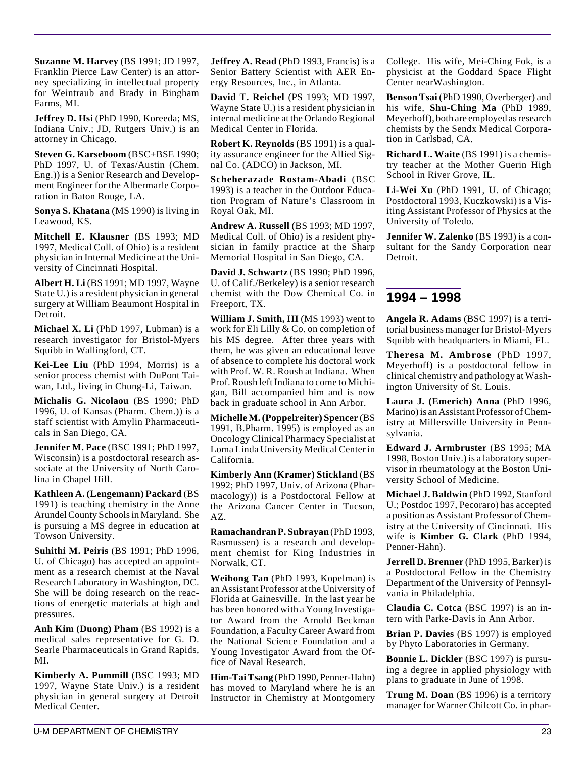**Suzanne M. Harvey** (BS 1991; JD 1997, Franklin Pierce Law Center) is an attorney specializing in intellectual property for Weintraub and Brady in Bingham Farms, MI.

**Jeffrey D. Hsi** (PhD 1990, Koreeda; MS, Indiana Univ.; JD, Rutgers Univ.) is an attorney in Chicago.

**Steven G. Karseboom** (BSC+BSE 1990; PhD 1997, U. of Texas/Austin (Chem. Eng.)) is a Senior Research and Development Engineer for the Albermarle Corporation in Baton Rouge, LA.

**Sonya S. Khatana** (MS 1990) is living in Leawood, KS.

**Mitchell E. Klausner** (BS 1993; MD 1997, Medical Coll. of Ohio) is a resident physician in Internal Medicine at the University of Cincinnati Hospital.

**Albert H. Li** (BS 1991; MD 1997, Wayne State U.) is a resident physician in general surgery at William Beaumont Hospital in Detroit.

**Michael X. Li** (PhD 1997, Lubman) is a research investigator for Bristol-Myers Squibb in Wallingford, CT.

**Kei-Lee Liu** (PhD 1994, Morris) is a senior process chemist with DuPont Taiwan, Ltd., living in Chung-Li, Taiwan.

**Michalis G. Nicolaou** (BS 1990; PhD 1996, U. of Kansas (Pharm. Chem.)) is a staff scientist with Amylin Pharmaceuticals in San Diego, CA.

**Jennifer M. Pace** (BSC 1991; PhD 1997, Wisconsin) is a postdoctoral research associate at the University of North Carolina in Chapel Hill.

**Kathleen A. (Lengemann) Packard** (BS 1991) is teaching chemistry in the Anne Arundel County Schools in Maryland. She is pursuing a MS degree in education at Towson University.

**Suhithi M. Peiris** (BS 1991; PhD 1996, U. of Chicago) has accepted an appointment as a research chemist at the Naval Research Laboratory in Washington, DC. She will be doing research on the reactions of energetic materials at high and pressures.

**Anh Kim (Duong) Pham** (BS 1992) is a medical sales representative for G. D. Searle Pharmaceuticals in Grand Rapids, MI.

**Kimberly A. Pummill** (BSC 1993; MD 1997, Wayne State Univ.) is a resident physician in general surgery at Detroit Medical Center.

**Jeffrey A. Read** (PhD 1993, Francis) is a Senior Battery Scientist with AER Energy Resources, Inc., in Atlanta.

**David T. Reichel** (PS 1993; MD 1997, Wayne State U.) is a resident physician in internal medicine at the Orlando Regional Medical Center in Florida.

**Robert K. Reynolds** (BS 1991) is a quality assurance engineer for the Allied Signal Co. (ADCO) in Jackson, MI.

**Scheherazade Rostam-Abadi** (BSC 1993) is a teacher in the Outdoor Education Program of Nature's Classroom in Royal Oak, MI.

**Andrew A. Russell** (BS 1993; MD 1997, Medical Coll. of Ohio) is a resident physician in family practice at the Sharp Memorial Hospital in San Diego, CA.

**David J. Schwartz** (BS 1990; PhD 1996, U. of Calif./Berkeley) is a senior research chemist with the Dow Chemical Co. in Freeport, TX.

**William J. Smith, III** (MS 1993) went to work for Eli Lilly & Co. on completion of his MS degree. After three years with them, he was given an educational leave of absence to complete his doctoral work with Prof. W. R. Roush at Indiana. When Prof. Roush left Indiana to come to Michigan, Bill accompanied him and is now back in graduate school in Ann Arbor.

**Michelle M. (Poppelreiter) Spencer** (BS 1991, B.Pharm. 1995) is employed as an Oncology Clinical Pharmacy Specialist at Loma Linda University Medical Center in California.

**Kimberly Ann (Kramer) Stickland** (BS 1992; PhD 1997, Univ. of Arizona (Pharmacology)) is a Postdoctoral Fellow at the Arizona Cancer Center in Tucson, AZ.

**Ramachandran P. Subrayan** (PhD 1993, Rasmussen) is a research and development chemist for King Industries in Norwalk, CT.

**Weihong Tan** (PhD 1993, Kopelman) is an Assistant Professor at the University of Florida at Gainesville. In the last year he has been honored with a Young Investigator Award from the Arnold Beckman Foundation, a Faculty Career Award from the National Science Foundation and a Young Investigator Award from the Office of Naval Research.

**Him-Tai Tsang** (PhD 1990, Penner-Hahn) has moved to Maryland where he is an Instructor in Chemistry at Montgomery

College. His wife, Mei-Ching Fok, is a physicist at the Goddard Space Flight Center nearWashington.

**Benson Tsai** (PhD 1990, Overberger) and his wife, **Shu-Ching Ma** (PhD 1989, Meyerhoff), both are employed as research chemists by the Sendx Medical Corporation in Carlsbad, CA.

**Richard L. Waite** (BS 1991) is a chemistry teacher at the Mother Guerin High School in River Grove, IL.

**Li-Wei Xu** (PhD 1991, U. of Chicago; Postdoctoral 1993, Kuczkowski) is a Visiting Assistant Professor of Physics at the University of Toledo.

**Jennifer W. Zalenko** (BS 1993) is a consultant for the Sandy Corporation near Detroit.

### **1994 – 1998**

**Angela R. Adams** (BSC 1997) is a territorial business manager for Bristol-Myers Squibb with headquarters in Miami, FL.

**Theresa M. Ambrose** (PhD 1997, Meyerhoff) is a postdoctoral fellow in clinical chemistry and pathology at Washington University of St. Louis.

**Laura J. (Emerich) Anna** (PhD 1996, Marino) is an Assistant Professor of Chemistry at Millersville University in Pennsylvania.

**Edward J. Armbruster** (BS 1995; MA 1998, Boston Univ.) is a laboratory supervisor in rheumatology at the Boston University School of Medicine.

**Michael J. Baldwin** (PhD 1992, Stanford U.; Postdoc 1997, Pecoraro) has accepted a position as Assistant Professor of Chemistry at the University of Cincinnati. His wife is **Kimber G. Clark** (PhD 1994, Penner-Hahn).

**Jerrell D. Brenner** (PhD 1995, Barker) is a Postdoctoral Fellow in the Chemistry Department of the University of Pennsylvania in Philadelphia.

**Claudia C. Cotca** (BSC 1997) is an intern with Parke-Davis in Ann Arbor.

**Brian P. Davies** (BS 1997) is employed by Phyto Laboratories in Germany.

**Bonnie L. Dickler** (BSC 1997) is pursuing a degree in applied physiology with plans to graduate in June of 1998.

**Trung M. Doan** (BS 1996) is a territory manager for Warner Chilcott Co. in phar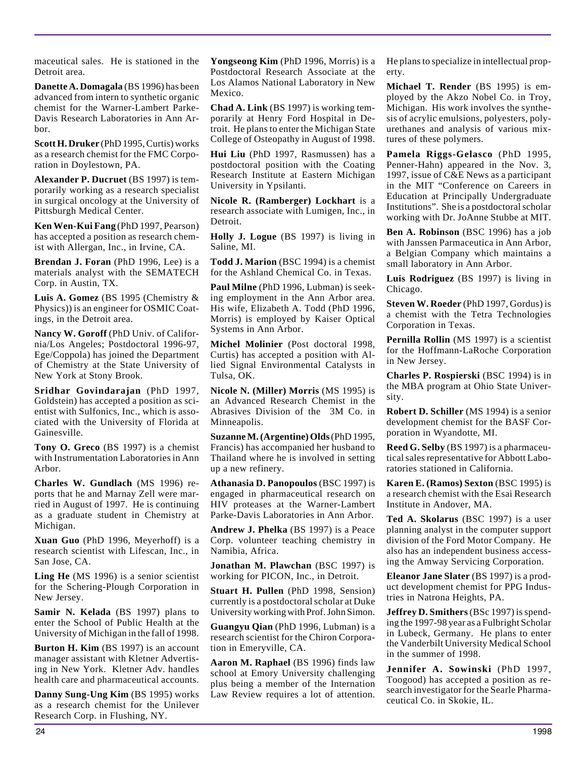maceutical sales. He is stationed in the Detroit area.

**Danette A. Domagala** (BS 1996) has been advanced from intern to synthetic organic chemist for the Warner-Lambert Parke-Davis Research Laboratories in Ann Arbor.

**Scott H. Druker** (PhD 1995, Curtis) works as a research chemist for the FMC Corporation in Doylestown, PA.

**Alexander P. Ducruet** (BS 1997) is temporarily working as a research specialist in surgical oncology at the University of Pittsburgh Medical Center.

**Ken Wen-Kui Fang** (PhD 1997, Pearson) has accepted a position as research chemist with Allergan, Inc., in Irvine, CA.

**Brendan J. Foran** (PhD 1996, Lee) is a materials analyst with the SEMATECH Corp. in Austin, TX.

**Luis A. Gomez** (BS 1995 (Chemistry & Physics)) is an engineer for OSMIC Coatings, in the Detroit area.

**Nancy W. Goroff** (PhD Univ. of California/Los Angeles; Postdoctoral 1996-97, Ege/Coppola) has joined the Department of Chemistry at the State University of New York at Stony Brook.

**Sridhar Govindarajan** (PhD 1997, Goldstein) has accepted a position as scientist with Sulfonics, Inc., which is associated with the University of Florida at Gainesville.

**Tony O. Greco** (BS 1997) is a chemist with Instrumentation Laboratories in Ann Arbor.

**Charles W. Gundlach** (MS 1996) reports that he and Marnay Zell were married in August of 1997. He is continuing as a graduate student in Chemistry at Michigan.

**Xuan Guo** (PhD 1996, Meyerhoff) is a research scientist with Lifescan, Inc., in San Jose, CA.

**Ling He** (MS 1996) is a senior scientist for the Schering-Plough Corporation in New Jersey.

**Samir N. Kelada** (BS 1997) plans to enter the School of Public Health at the University of Michigan in the fall of 1998.

**Burton H. Kim** (BS 1997) is an account manager assistant with Kletner Advertising in New York. Kletner Adv. handles health care and pharmaceutical accounts.

**Danny Sung-Ung Kim** (BS 1995) works as a research chemist for the Unilever Research Corp. in Flushing, NY.

**Yongseong Kim** (PhD 1996, Morris) is a Postdoctoral Research Associate at the Los Alamos National Laboratory in New Mexico.

**Chad A. Link** (BS 1997) is working temporarily at Henry Ford Hospital in Detroit. He plans to enter the Michigan State College of Osteopathy in August of 1998.

**Hui Liu** (PhD 1997, Rasmussen) has a postdoctoral position with the Coating Research Institute at Eastern Michigan University in Ypsilanti.

**Nicole R. (Ramberger) Lockhart** is a research associate with Lumigen, Inc., in Detroit.

**Holly J. Logue** (BS 1997) is living in Saline, MI.

**Todd J. Marion** (BSC 1994) is a chemist for the Ashland Chemical Co. in Texas.

**Paul Milne** (PhD 1996, Lubman) is seeking employment in the Ann Arbor area. His wife, Elizabeth A. Todd (PhD 1996, Morris) is employed by Kaiser Optical Systems in Ann Arbor.

**Michel Molinier** (Post doctoral 1998, Curtis) has accepted a position with Allied Signal Environmental Catalysts in Tulsa, OK.

**Nicole N. (Miller) Morris** (MS 1995) is an Advanced Research Chemist in the Abrasives Division of the 3M Co. in Minneapolis.

**Suzanne M. (Argentine) Olds**(PhD 1995, Francis) has accompanied her husband to Thailand where he is involved in setting up a new refinery.

**Athanasia D. Panopoulos** (BSC 1997) is engaged in pharmaceutical research on HIV proteases at the Warner-Lambert Parke-Davis Laboratories in Ann Arbor.

**Andrew J. Phelka** (BS 1997) is a Peace Corp. volunteer teaching chemistry in Namibia, Africa.

**Jonathan M. Plawchan** (BSC 1997) is working for PICON, Inc., in Detroit.

**Stuart H. Pullen** (PhD 1998, Sension) currently is a postdoctoral scholar at Duke University working with Prof. John Simon.

**Guangyu Qian** (PhD 1996, Lubman) is a research scientist for the Chiron Corporation in Emeryville, CA.

**Aaron M. Raphael** (BS 1996) finds law school at Emory University challenging plus being a member of the Internation Law Review requires a lot of attention.

He plans to specialize in intellectual property.

**Michael T. Render** (BS 1995) is employed by the Akzo Nobel Co. in Troy, Michigan. His work involves the synthesis of acrylic emulsions, polyesters, polyurethanes and analysis of various mixtures of these polymers.

**Pamela Riggs-Gelasco** (PhD 1995, Penner-Hahn) appeared in the Nov. 3, 1997, issue of C&E News as a participant in the MIT "Conference on Careers in Education at Principally Undergraduate Institutions". She is a postdoctoral scholar working with Dr. JoAnne Stubbe at MIT.

**Ben A. Robinson** (BSC 1996) has a job with Janssen Parmaceutica in Ann Arbor, a Belgian Company which maintains a small laboratory in Ann Arbor.

**Luis Rodriguez** (BS 1997) is living in Chicago.

**Steven W. Roeder** (PhD 1997, Gordus) is a chemist with the Tetra Technologies Corporation in Texas.

**Pernilla Rollin** (MS 1997) is a scientist for the Hoffmann-LaRoche Corporation in New Jersey.

**Charles P. Rospierski** (BSC 1994) is in the MBA program at Ohio State University.

**Robert D. Schiller** (MS 1994) is a senior development chemist for the BASF Corporation in Wyandotte, MI.

**Reed G. Selby** (BS 1997) is a pharmaceutical sales representative for Abbott Laboratories stationed in California.

**Karen E. (Ramos) Sexton** (BSC 1995) is a research chemist with the Esai Research Institute in Andover, MA.

**Ted A. Skolarus** (BSC 1997) is a user planning analyst in the computer support division of the Ford Motor Company. He also has an independent business accessing the Amway Servicing Corporation.

**Eleanor Jane Slater** (BS 1997) is a product development chemist for PPG Industries in Natrona Heights, PA.

**Jeffrey D. Smithers**(BSc 1997) is spending the 1997-98 year as a Fulbright Scholar in Lubeck, Germany. He plans to enter the Vanderbilt University Medical School in the summer of 1998.

**Jennifer A. Sowinski** (PhD 1997, Toogood) has accepted a position as research investigator for the Searle Pharmaceutical Co. in Skokie, IL.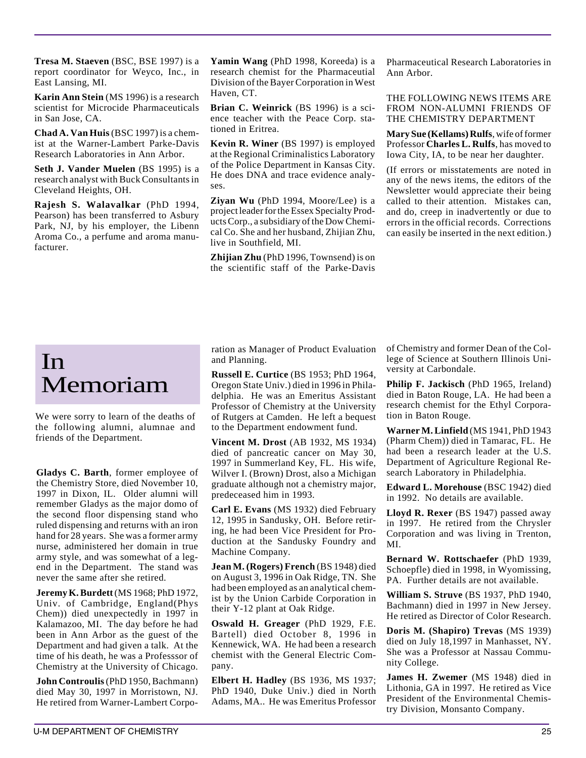**Tresa M. Staeven** (BSC, BSE 1997) is a report coordinator for Weyco, Inc., in East Lansing, MI.

**Karin Ann Stein** (MS 1996) is a research scientist for Microcide Pharmaceuticals in San Jose, CA.

**Chad A. Van Huis**(BSC 1997) is a chemist at the Warner-Lambert Parke-Davis Research Laboratories in Ann Arbor.

**Seth J. Vander Muelen** (BS 1995) is a research analyst with Buck Consultants in Cleveland Heights, OH.

**Rajesh S. Walavalkar** (PhD 1994, Pearson) has been transferred to Asbury Park, NJ, by his employer, the Libenn Aroma Co., a perfume and aroma manufacturer.

**Yamin Wang** (PhD 1998, Koreeda) is a research chemist for the Pharmaceutial Division of the Bayer Corporation in West Haven, CT.

**Brian C. Weinrick** (BS 1996) is a science teacher with the Peace Corp. stationed in Eritrea.

**Kevin R. Winer** (BS 1997) is employed at the Regional Criminalistics Laboratory of the Police Department in Kansas City. He does DNA and trace evidence analyses.

**Ziyan Wu** (PhD 1994, Moore/Lee) is a project leader for the Essex Specialty Products Corp., a subsidiary of the Dow Chemical Co. She and her husband, Zhijian Zhu, live in Southfield, MI.

**Zhijian Zhu** (PhD 1996, Townsend) is on the scientific staff of the Parke-Davis Pharmaceutical Research Laboratories in Ann Arbor.

THE FOLLOWING NEWS ITEMS ARE FROM NON-ALUMNI FRIENDS OF THE CHEMISTRY DEPARTMENT

**Mary Sue (Kellams) Rulfs**, wife of former Professor **Charles L. Rulfs**, has moved to Iowa City, IA, to be near her daughter.

(If errors or misstatements are noted in any of the news items, the editors of the Newsletter would appreciate their being called to their attention. Mistakes can, and do, creep in inadvertently or due to errors in the official records. Corrections can easily be inserted in the next edition.)

# In Memoriam

We were sorry to learn of the deaths of the following alumni, alumnae and friends of the Department.

**Gladys C. Barth**, former employee of the Chemistry Store, died November 10, 1997 in Dixon, IL. Older alumni will remember Gladys as the major domo of the second floor dispensing stand who ruled dispensing and returns with an iron hand for 28 years. She was a former army nurse, administered her domain in true army style, and was somewhat of a legend in the Department. The stand was never the same after she retired.

**Jeremy K. Burdett**(MS 1968; PhD 1972, Univ. of Cambridge, England(Phys Chem)) died unexpectedly in 1997 in Kalamazoo, MI. The day before he had been in Ann Arbor as the guest of the Department and had given a talk. At the time of his death, he was a Professsor of Chemistry at the University of Chicago.

**John Controulis**(PhD 1950, Bachmann) died May 30, 1997 in Morristown, NJ. He retired from Warner-Lambert Corporation as Manager of Product Evaluation and Planning.

**Russell E. Curtice** (BS 1953; PhD 1964, Oregon State Univ.) died in 1996 in Philadelphia. He was an Emeritus Assistant Professor of Chemistry at the University of Rutgers at Camden. He left a bequest to the Department endowment fund.

**Vincent M. Drost** (AB 1932, MS 1934) died of pancreatic cancer on May 30, 1997 in Summerland Key, FL. His wife, Wilver I. (Brown) Drost, also a Michigan graduate although not a chemistry major, predeceased him in 1993.

**Carl E. Evans** (MS 1932) died February 12, 1995 in Sandusky, OH. Before retiring, he had been Vice President for Production at the Sandusky Foundry and Machine Company.

**Jean M. (Rogers) French** (BS 1948) died on August 3, 1996 in Oak Ridge, TN. She had been employed as an analytical chemist by the Union Carbide Corporation in their Y-12 plant at Oak Ridge.

**Oswald H. Greager** (PhD 1929, F.E. Bartell) died October 8, 1996 in Kennewick, WA. He had been a research chemist with the General Electric Company.

**Elbert H. Hadley** (BS 1936, MS 1937; PhD 1940, Duke Univ.) died in North Adams, MA.. He was Emeritus Professor of Chemistry and former Dean of the College of Science at Southern Illinois University at Carbondale.

**Philip F. Jackisch** (PhD 1965, Ireland) died in Baton Rouge, LA. He had been a research chemist for the Ethyl Corporation in Baton Rouge.

**Warner M. Linfield** (MS 1941, PhD 1943 (Pharm Chem)) died in Tamarac, FL. He had been a research leader at the U.S. Department of Agriculture Regional Research Laboratory in Philadelphia.

**Edward L. Morehouse** (BSC 1942) died in 1992. No details are available.

**Lloyd R. Rexer** (BS 1947) passed away in 1997. He retired from the Chrysler Corporation and was living in Trenton, MI.

**Bernard W. Rottschaefer** (PhD 1939, Schoepfle) died in 1998, in Wyomissing, PA. Further details are not available.

**William S. Struve** (BS 1937, PhD 1940, Bachmann) died in 1997 in New Jersey. He retired as Director of Color Research.

**Doris M. (Shapiro) Trevas** (MS 1939) died on July 18,1997 in Manhasset, NY. She was a Professor at Nassau Community College.

**James H. Zwemer** (MS 1948) died in Lithonia, GA in 1997. He retired as Vice President of the Environmental Chemistry Division, Monsanto Company.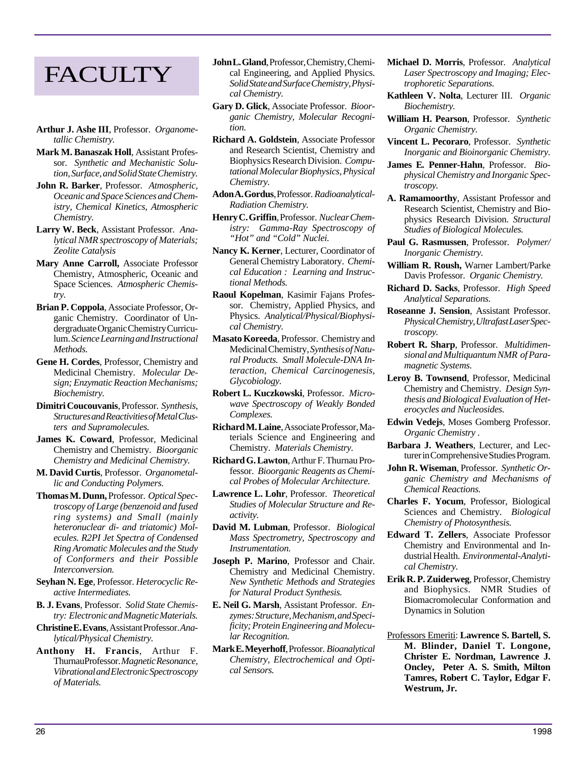# **FACULTY**

- **Arthur J. Ashe III**, Professor. *Organometallic Chemistry.*
- **Mark M. Banaszak Holl**, Assistant Professor. *Synthetic and Mechanistic Solution, Surface, and Solid State Chemistry.*
- **John R. Barker**, Professor. *Atmospheric, Oceanic and Space Sciences and Chemistry, Chemical Kinetics, Atmospheric Chemistry.*
- **Larry W. Beck**, Assistant Professor. *Analytical NMR spectroscopy of Materials; Zeolite Catalysis*
- **Mary Anne Carroll,** Associate Professor Chemistry, Atmospheric, Oceanic and Space Sciences. *Atmospheric Chemistry.*
- **Brian P. Coppola**, Associate Professor, Organic Chemistry. Coordinator of Undergraduate Organic Chemistry Curriculum. *Science Learning and Instructional Methods.*
- **Gene H. Cordes**, Professor, Chemistry and Medicinal Chemistry. *Molecular Design; Enzymatic Reaction Mechanisms; Biochemistry.*
- **Dimitri Coucouvanis**, Professor. *Synthesis, Structures and Reactivities of Metal Clusters and Supramolecules.*
- **James K. Coward**, Professor, Medicinal Chemistry and Chemistry. *Bioorganic Chemistry and Medicinal Chemistry.*
- **M. David Curtis**, Professor. *Organometallic and Conducting Polymers.*
- **Thomas M. Dunn,**Professor. *Optical Spectroscopy of Large (benzenoid and fused ring systems) and Small (mainly heteronuclear di- and triatomic) Molecules. R2PI Jet Spectra of Condensed Ring Aromatic Molecules and the Study of Conformers and their Possible Interconversion.*
- **Seyhan N. Ege**, Professor. *Heterocyclic Reactive Intermediates.*
- **B. J. Evans**, Professor. *Solid State Chemistry: Electronic and Magnetic Materials.*
- **Christine E. Evans**, Assistant Professor. *Analytical/Physical Chemistry.*
- **Anthony H. Francis**, Arthur F. ThurnauProfessor. *Magnetic Resonance, Vibrational and Electronic Spectroscopy of Materials.*
- **John L. Gland**, Professor, Chemistry, Chemical Engineering, and Applied Physics. *Solid State and Surface Chemistry, Physical Chemistry.*
- **Gary D. Glick**, Associate Professor. *Bioorganic Chemistry, Molecular Recognition.*
- **Richard A. Goldstein**, Associate Professor and Research Scientist, Chemistry and Biophysics Research Division. *Computational Molecular Biophysics, Physical Chemistry.*
- **Adon A. Gordus**, Professor. *Radioanalytical-Radiation Chemistry.*
- **Henry C. Griffin**, Professor. *Nuclear Chemistry: Gamma-Ray Spectroscopy of "Hot" and "Cold" Nuclei.*
- **Nancy K. Kerner**, Lecturer, Coordinator of General Chemistry Laboratory. *Chemical Education : Learning and Instructional Methods.*
- **Raoul Kopelman**, Kasimir Fajans Professor. Chemistry, Applied Physics, and Physics. *Analytical/Physical/Biophysical Chemistry.*
- **Masato Koreeda**, Professor. Chemistry and Medicinal Chemistry,*Synthesis of Natural Products. Small Molecule-DNA Interaction, Chemical Carcinogenesis, Glycobiology.*
- **Robert L. Kuczkowski**, Professor. *Microwave Spectroscopy of Weakly Bonded Complexes.*
- **Richard M. Laine**, Associate Professor, Materials Science and Engineering and Chemistry. *Materials Chemistry.*
- **Richard G. Lawton**, Arthur F. Thurnau Professor. *Bioorganic Reagents as Chemical Probes of Molecular Architecture.*
- **Lawrence L. Lohr**, Professor. *Theoretical Studies of Molecular Structure and Reactivity.*
- **David M. Lubman**, Professor. *Biological Mass Spectrometry, Spectroscopy and Instrumentation.*
- **Joseph P. Marino**, Professor and Chair. Chemistry and Medicinal Chemistry. *New Synthetic Methods and Strategies for Natural Product Synthesis.*
- **E. Neil G. Marsh**, Assistant Professor. *Enzymes: Structure, Mechanism, and Specificity; Protein Engineering and Molecular Recognition.*
- **Mark E. Meyerhoff**, Professor. *Bioanalytical Chemistry, Electrochemical and Optical Sensors.*
- **Michael D. Morris**, Professor. *Analytical Laser Spectroscopy and Imaging; Electrophoretic Separations.*
- **Kathleen V. Nolta**, Lecturer III. *Organic Biochemistry.*
- **William H. Pearson**, Professor. *Synthetic Organic Chemistry.*
- **Vincent L. Pecoraro**, Professor. *Synthetic Inorganic and Bioinorganic Chemistry.*
- **James E***.* **Penner-Hahn**, Professor. *Biophysical Chemistry and Inorganic Spectroscopy.*
- **A. Ramamoorthy**, Assistant Professor and Research Scientist, Chemistry and Biophysics Research Division. *Structural Studies of Biological Molecules.*
- **Paul G. Rasmussen**, Professor. *Polymer/ Inorganic Chemistry.*
- **William R. Roush,** Warner Lambert/Parke Davis Professor. *Organic Chemistry.*
- **Richard D. Sacks**, Professor. *High Speed Analytical Separations.*
- **Roseanne J. Sension**, Assistant Professor. *Physical Chemistry, Ultrafast Laser Spectroscopy.*
- **Robert R. Sharp**, Professor. *Multidimensional and Multiquantum NMR of Paramagnetic Systems.*
- **Leroy B. Townsend**, Professor, Medicinal Chemistry and Chemistry. *Design Synthesis and Biological Evaluation of Heterocycles and Nucleosides.*
- **Edwin Vedejs**, Moses Gomberg Professor. *Organic Chemistry .*
- **Barbara J. Weathers**, Lecturer, and Lecturer in Comprehensive Studies Program.
- **John R. Wiseman**, Professor. *Synthetic Organic Chemistry and Mechanisms of Chemical Reactions.*
- **Charles F. Yocum**, Professor, Biological Sciences and Chemistry. *Biological Chemistry of Photosynthesis.*
- **Edward T. Zellers**, Associate Professor Chemistry and Environmental and Industrial Health. *Environmental-Analytical Chemistry.*
- **Erik R. P. Zuiderweg**, Professor, Chemistry and Biophysics. NMR Studies of Biomacromolecular Conformation and Dynamics in Solution
- Professors Emeriti: **Lawrence S. Bartell, S. M. Blinder, Daniel T. Longone, Christer E. Nordman, Lawrence J. Oncley, Peter A. S. Smith, Milton Tamres, Robert C. Taylor, Edgar F. Westrum, Jr.**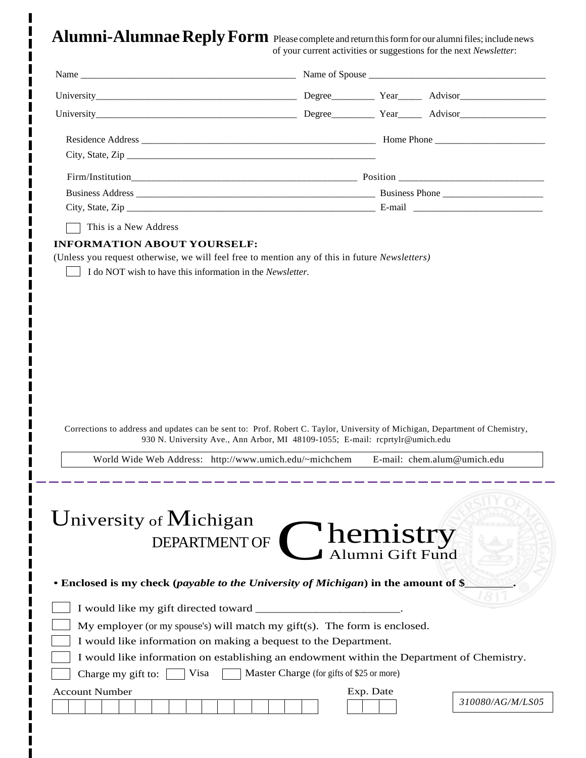**Alumni-Alumnae Reply Form** Please complete and return this form for our alumni files; include news of your current activities or suggestions for the next *Newsletter*:

| This is a New Address                                                                                                       |                                                                              |                                      |  |  |
|-----------------------------------------------------------------------------------------------------------------------------|------------------------------------------------------------------------------|--------------------------------------|--|--|
| I do NOT wish to have this information in the Newsletter.                                                                   |                                                                              |                                      |  |  |
|                                                                                                                             |                                                                              |                                      |  |  |
| Corrections to address and updates can be sent to: Prof. Robert C. Taylor, University of Michigan, Department of Chemistry, | 930 N. University Ave., Ann Arbor, MI 48109-1055; E-mail: rcprtylr@umich.edu |                                      |  |  |
| World Wide Web Address: http://www.umich.edu/~michchem E-mail: chem.alum@umich.edu                                          |                                                                              |                                      |  |  |
| University of Michigan<br><b>DEPARTMENT OF</b>                                                                              |                                                                              | <b>Themistry</b><br>Alumni Gift Fund |  |  |
| • Enclosed is my check (payable to the University of Michigan) in the amount of \$                                          |                                                                              |                                      |  |  |
| I would like my gift directed toward                                                                                        |                                                                              |                                      |  |  |
| My employer (or my spouse's) will match my gift(s). The form is enclosed.                                                   |                                                                              |                                      |  |  |
| I would like information on making a bequest to the Department.                                                             |                                                                              |                                      |  |  |
| I would like information on establishing an endowment within the Department of Chemistry.                                   |                                                                              |                                      |  |  |
| Visa<br>Charge my gift to:<br><b>Account Number</b>                                                                         | Master Charge (for gifts of \$25 or more)                                    | Exp. Date                            |  |  |